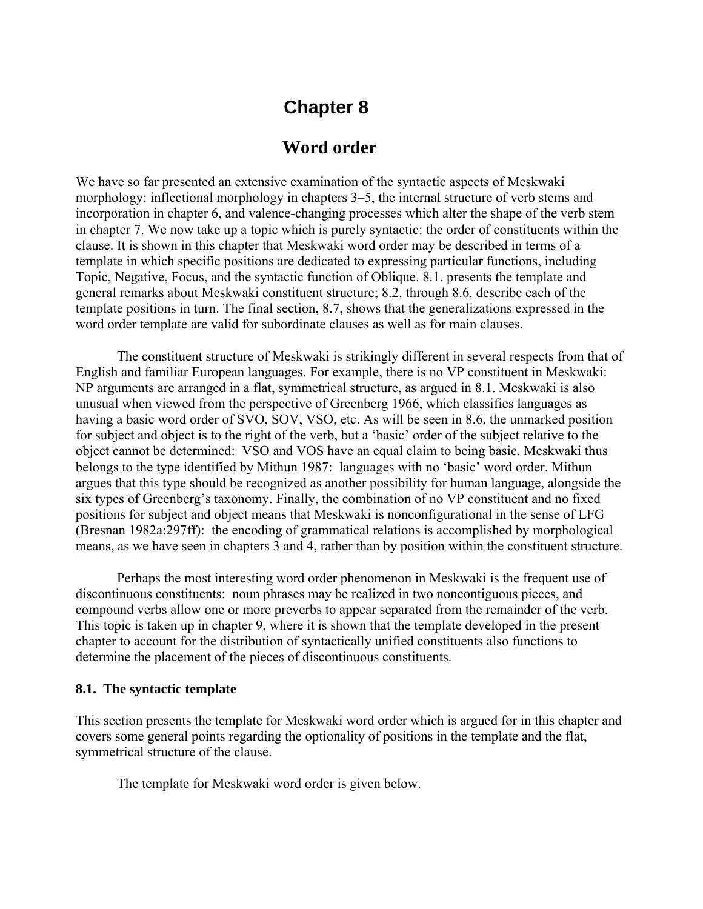# **Chapter 8**

## **Word order**

We have so far presented an extensive examination of the syntactic aspects of Meskwaki morphology: inflectional morphology in chapters 3–5, the internal structure of verb stems and incorporation in chapter 6, and valence-changing processes which alter the shape of the verb stem in chapter 7. We now take up a topic which is purely syntactic: the order of constituents within the clause. It is shown in this chapter that Meskwaki word order may be described in terms of a template in which specific positions are dedicated to expressing particular functions, including Topic, Negative, Focus, and the syntactic function of Oblique. 8.1. presents the template and general remarks about Meskwaki constituent structure; 8.2. through 8.6. describe each of the template positions in turn. The final section, 8.7, shows that the generalizations expressed in the word order template are valid for subordinate clauses as well as for main clauses.

The constituent structure of Meskwaki is strikingly different in several respects from that of English and familiar European languages. For example, there is no VP constituent in Meskwaki: NP arguments are arranged in a flat, symmetrical structure, as argued in 8.1. Meskwaki is also unusual when viewed from the perspective of Greenberg 1966, which classifies languages as having a basic word order of SVO, SOV, VSO, etc. As will be seen in 8.6, the unmarked position for subject and object is to the right of the verb, but a 'basic' order of the subject relative to the object cannot be determined: VSO and VOS have an equal claim to being basic. Meskwaki thus belongs to the type identified by Mithun 1987: languages with no 'basic' word order. Mithun argues that this type should be recognized as another possibility for human language, alongside the six types of Greenberg's taxonomy. Finally, the combination of no VP constituent and no fixed positions for subject and object means that Meskwaki is nonconfigurational in the sense of LFG (Bresnan 1982a:297ff): the encoding of grammatical relations is accomplished by morphological means, as we have seen in chapters 3 and 4, rather than by position within the constituent structure.

Perhaps the most interesting word order phenomenon in Meskwaki is the frequent use of discontinuous constituents: noun phrases may be realized in two noncontiguous pieces, and compound verbs allow one or more preverbs to appear separated from the remainder of the verb. This topic is taken up in chapter 9, where it is shown that the template developed in the present chapter to account for the distribution of syntactically unified constituents also functions to determine the placement of the pieces of discontinuous constituents.

#### **8.1. The syntactic template**

This section presents the template for Meskwaki word order which is argued for in this chapter and covers some general points regarding the optionality of positions in the template and the flat, symmetrical structure of the clause.

The template for Meskwaki word order is given below.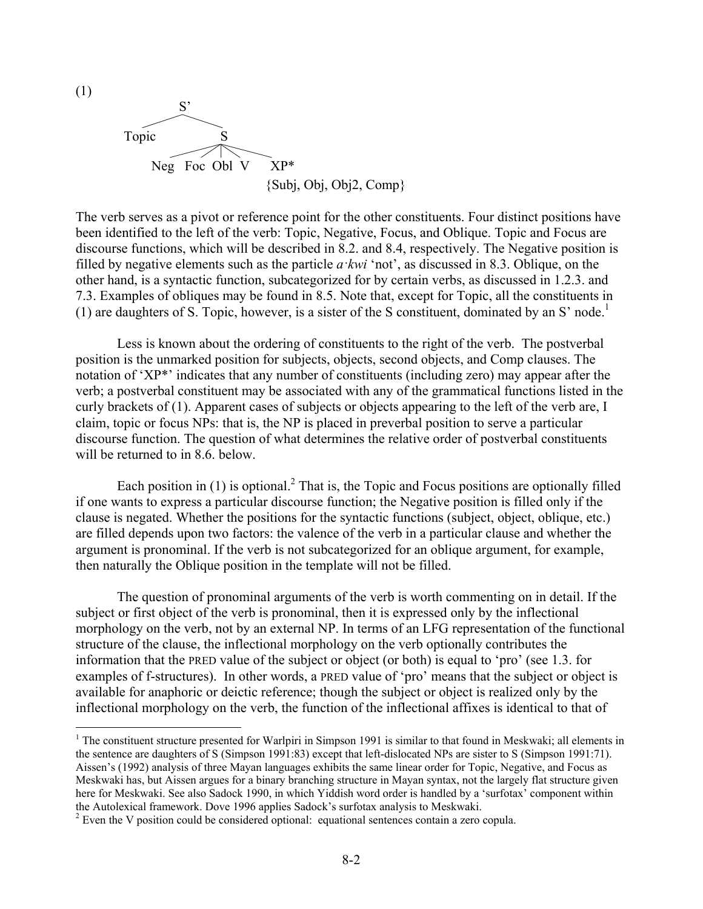

The verb serves as a pivot or reference point for the other constituents. Four distinct positions have been identified to the left of the verb: Topic, Negative, Focus, and Oblique. Topic and Focus are discourse functions, which will be described in 8.2. and 8.4, respectively. The Negative position is filled by negative elements such as the particle *a·kwi* 'not', as discussed in 8.3. Oblique, on the other hand, is a syntactic function, subcategorized for by certain verbs, as discussed in 1.2.3. and 7.3. Examples of obliques may be found in 8.5. Note that, except for Topic, all the constituents in (1) are daughters of S. Topic, however, is a sister of the S constituent, dominated by an S' node.<sup>1</sup>

Less is known about the ordering of constituents to the right of the verb. The postverbal position is the unmarked position for subjects, objects, second objects, and Comp clauses. The notation of 'XP\*' indicates that any number of constituents (including zero) may appear after the verb; a postverbal constituent may be associated with any of the grammatical functions listed in the curly brackets of (1). Apparent cases of subjects or objects appearing to the left of the verb are, I claim, topic or focus NPs: that is, the NP is placed in preverbal position to serve a particular discourse function. The question of what determines the relative order of postverbal constituents will be returned to in 8.6, below.

Each position in  $(1)$  is optional.<sup>2</sup> That is, the Topic and Focus positions are optionally filled if one wants to express a particular discourse function; the Negative position is filled only if the clause is negated. Whether the positions for the syntactic functions (subject, object, oblique, etc.) are filled depends upon two factors: the valence of the verb in a particular clause and whether the argument is pronominal. If the verb is not subcategorized for an oblique argument, for example, then naturally the Oblique position in the template will not be filled.

The question of pronominal arguments of the verb is worth commenting on in detail. If the subject or first object of the verb is pronominal, then it is expressed only by the inflectional morphology on the verb, not by an external NP. In terms of an LFG representation of the functional structure of the clause, the inflectional morphology on the verb optionally contributes the information that the PRED value of the subject or object (or both) is equal to 'pro' (see 1.3. for examples of f-structures). In other words, a PRED value of 'pro' means that the subject or object is available for anaphoric or deictic reference; though the subject or object is realized only by the inflectional morphology on the verb, the function of the inflectional affixes is identical to that of

<u>.</u>

<sup>&</sup>lt;sup>1</sup> The constituent structure presented for Warlpiri in Simpson 1991 is similar to that found in Meskwaki; all elements in the sentence are daughters of S (Simpson 1991:83) except that left-dislocated NPs are sister to S (Simpson 1991:71). Aissen's (1992) analysis of three Mayan languages exhibits the same linear order for Topic, Negative, and Focus as Meskwaki has, but Aissen argues for a binary branching structure in Mayan syntax, not the largely flat structure given here for Meskwaki. See also Sadock 1990, in which Yiddish word order is handled by a 'surfotax' component within the Autolexical framework. Dove 1996 applies Sadock's surfotax analysis to Meskwaki.

<sup>&</sup>lt;sup>2</sup> Even the V position could be considered optional: equational sentences contain a zero copula.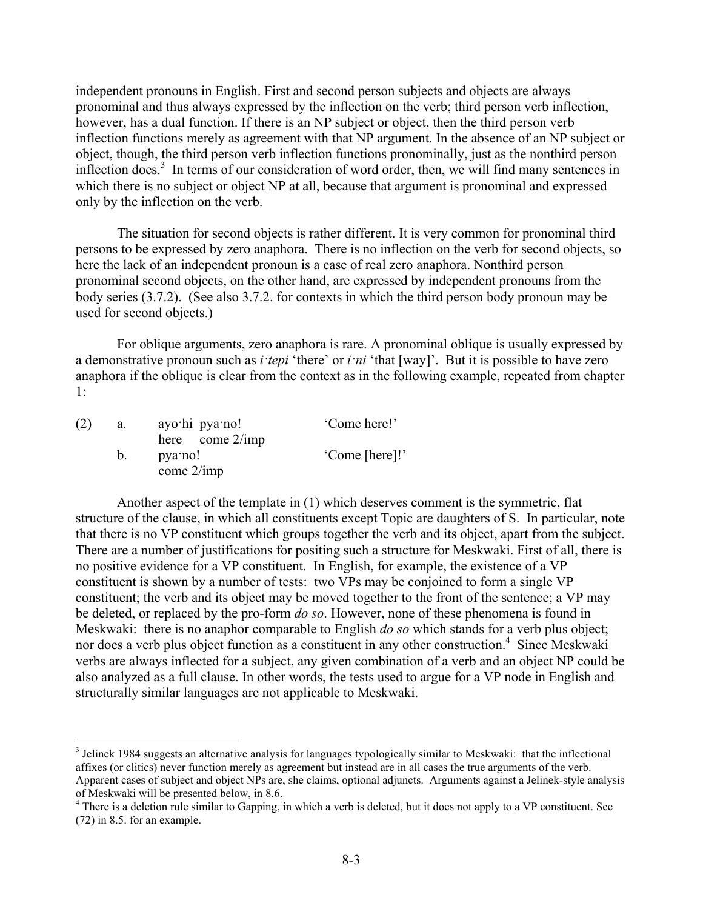independent pronouns in English. First and second person subjects and objects are always pronominal and thus always expressed by the inflection on the verb; third person verb inflection, however, has a dual function. If there is an NP subject or object, then the third person verb inflection functions merely as agreement with that NP argument. In the absence of an NP subject or object, though, the third person verb inflection functions pronominally, just as the nonthird person inflection does.<sup>3</sup> In terms of our consideration of word order, then, we will find many sentences in which there is no subject or object NP at all, because that argument is pronominal and expressed only by the inflection on the verb.

The situation for second objects is rather different. It is very common for pronominal third persons to be expressed by zero anaphora. There is no inflection on the verb for second objects, so here the lack of an independent pronoun is a case of real zero anaphora. Nonthird person pronominal second objects, on the other hand, are expressed by independent pronouns from the body series (3.7.2). (See also 3.7.2. for contexts in which the third person body pronoun may be used for second objects.)

For oblique arguments, zero anaphora is rare. A pronominal oblique is usually expressed by a demonstrative pronoun such as *i·tepi* 'there' or *i·ni* 'that [way]'. But it is possible to have zero anaphora if the oblique is clear from the context as in the following example, repeated from chapter 1:

| (2) | a. | ayo hi pya no!          | 'Come here!'   |
|-----|----|-------------------------|----------------|
|     |    | here come $2/imp$       |                |
|     |    | pya no!<br>come $2/imp$ | 'Come [here]!' |

1

Another aspect of the template in (1) which deserves comment is the symmetric, flat structure of the clause, in which all constituents except Topic are daughters of S. In particular, note that there is no VP constituent which groups together the verb and its object, apart from the subject. There are a number of justifications for positing such a structure for Meskwaki. First of all, there is no positive evidence for a VP constituent. In English, for example, the existence of a VP constituent is shown by a number of tests: two VPs may be conjoined to form a single VP constituent; the verb and its object may be moved together to the front of the sentence; a VP may be deleted, or replaced by the pro-form *do so*. However, none of these phenomena is found in Meskwaki: there is no anaphor comparable to English *do so* which stands for a verb plus object; nor does a verb plus object function as a constituent in any other construction.<sup>4</sup> Since Meskwaki verbs are always inflected for a subject, any given combination of a verb and an object NP could be also analyzed as a full clause. In other words, the tests used to argue for a VP node in English and structurally similar languages are not applicable to Meskwaki.

<sup>&</sup>lt;sup>3</sup> Jelinek 1984 suggests an alternative analysis for languages typologically similar to Meskwaki: that the inflectional affixes (or clitics) never function merely as agreement but instead are in all cases the true arguments of the verb. Apparent cases of subject and object NPs are, she claims, optional adjuncts. Arguments against a Jelinek-style analysis of Meskwaki will be presented below, in 8.6.

<sup>&</sup>lt;sup>4</sup> There is a deletion rule similar to Gapping, in which a verb is deleted, but it does not apply to a VP constituent. See (72) in 8.5. for an example.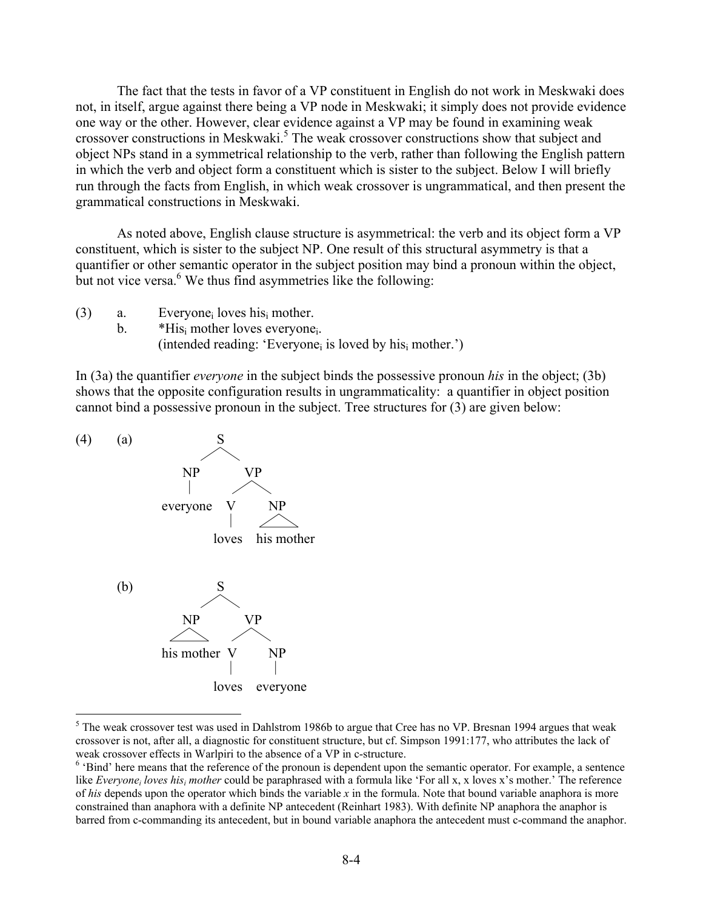The fact that the tests in favor of a VP constituent in English do not work in Meskwaki does not, in itself, argue against there being a VP node in Meskwaki; it simply does not provide evidence one way or the other. However, clear evidence against a VP may be found in examining weak crossover constructions in Meskwaki.<sup>5</sup> The weak crossover constructions show that subject and object NPs stand in a symmetrical relationship to the verb, rather than following the English pattern in which the verb and object form a constituent which is sister to the subject. Below I will briefly run through the facts from English, in which weak crossover is ungrammatical, and then present the grammatical constructions in Meskwaki.

As noted above, English clause structure is asymmetrical: the verb and its object form a VP constituent, which is sister to the subject NP. One result of this structural asymmetry is that a quantifier or other semantic operator in the subject position may bind a pronoun within the object, but not vice versa.<sup>6</sup> We thus find asymmetries like the following:

- (3) a. Everyonei loves hisi mother.
	- b. \*His mother loves everyone. (intended reading: 'Everyone<sub>i</sub> is loved by his<sub>i</sub> mother.')

In (3a) the quantifier *everyone* in the subject binds the possessive pronoun *his* in the object; (3b) shows that the opposite configuration results in ungrammaticality: a quantifier in object position cannot bind a possessive pronoun in the subject. Tree structures for (3) are given below:



1

<sup>&</sup>lt;sup>5</sup> The weak crossover test was used in Dahlstrom 1986b to argue that Cree has no VP. Bresnan 1994 argues that weak crossover is not, after all, a diagnostic for constituent structure, but cf. Simpson 1991:177, who attributes the lack of weak crossover effects in Warlpiri to the absence of a VP in c-structure.

 $<sup>6</sup>$  'Bind' here means that the reference of the pronoun is dependent upon the semantic operator. For example, a sentence</sup> like *Everyone<sub>i</sub> loves his<sub>i</sub> mother* could be paraphrased with a formula like 'For all x, x loves x's mother.' The reference of *his* depends upon the operator which binds the variable *x* in the formula. Note that bound variable anaphora is more constrained than anaphora with a definite NP antecedent (Reinhart 1983). With definite NP anaphora the anaphor is barred from c-commanding its antecedent, but in bound variable anaphora the antecedent must c-command the anaphor.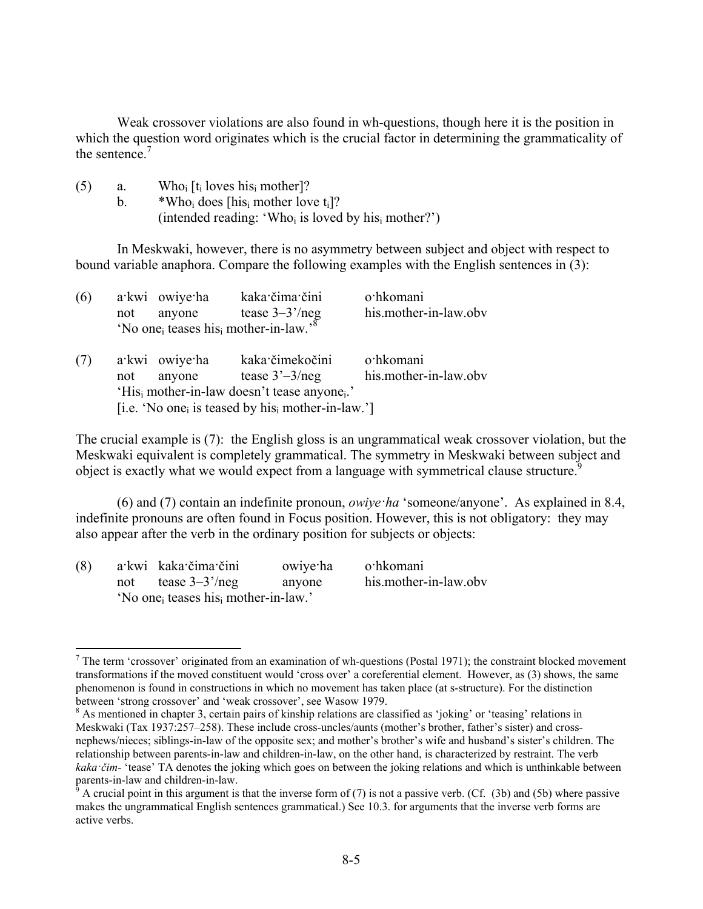Weak crossover violations are also found in wh-questions, though here it is the position in which the question word originates which is the crucial factor in determining the grammaticality of the sentence  $<sup>7</sup>$ </sup>

| (5) | a. | Who <sub>i</sub> [t <sub>i</sub> loves his <sub>i</sub> mother]?            |
|-----|----|-----------------------------------------------------------------------------|
|     |    | *Who <sub>i</sub> does [his <sub>i</sub> mother love $t_i$ ]?               |
|     |    | (intended reading: 'Who <sub>i</sub> is loved by his <sub>i</sub> mother?') |

In Meskwaki, however, there is no asymmetry between subject and object with respect to bound variable anaphora. Compare the following examples with the English sentences in (3):

| (6) |     | a kwi owiye ha           | kaka čima čini<br>not anyone tease $3-3'/neg$<br>'No one <sub>i</sub> teases his <sub>i</sub> mother-in-law.' <sup>8</sup>                                                                   | o·hkomani<br>his.mother-in-law.obv |
|-----|-----|--------------------------|----------------------------------------------------------------------------------------------------------------------------------------------------------------------------------------------|------------------------------------|
| (7) | not | a kwi owiye ha<br>anyone | kaka čimekočini<br>tease $3^3 - 3$ /neg<br>'His <sub>i</sub> mother-in-law doesn't tease anyone <sub>i</sub> .'<br>[i.e. 'No one <sub>i</sub> is teased by his <sub>i</sub> mother-in-law.'] | o·hkomani<br>his.mother-in-law.obv |

The crucial example is (7): the English gloss is an ungrammatical weak crossover violation, but the Meskwaki equivalent is completely grammatical. The symmetry in Meskwaki between subject and object is exactly what we would expect from a language with symmetrical clause structure.<sup>9</sup>

(6) and (7) contain an indefinite pronoun, *owiye·ha* 'someone/anyone'. As explained in 8.4, indefinite pronouns are often found in Focus position. However, this is not obligatory: they may also appear after the verb in the ordinary position for subjects or objects:

| (8) |     | a kwi kaka čima čini                                         | owiye ha | o·hkomani             |
|-----|-----|--------------------------------------------------------------|----------|-----------------------|
|     | not | tease $3-3^{\prime}/neg$                                     | anyone   | his.mother-in-law.obv |
|     |     | 'No one <sub>i</sub> teases his <sub>i</sub> mother-in-law.' |          |                       |

<sup>&</sup>lt;sup>7</sup> The term 'crossover' originated from an examination of wh-questions (Postal 1971); the constraint blocked movement transformations if the moved constituent would 'cross over' a coreferential element. However, as (3) shows, the same phenomenon is found in constructions in which no movement has taken place (at s-structure). For the distinction between 'strong crossover' and 'weak crossover', see Wasow 1979.

<sup>&</sup>lt;sup>8</sup> As mentioned in chapter 3, certain pairs of kinship relations are classified as 'joking' or 'teasing' relations in Meskwaki (Tax 1937:257–258). These include cross-uncles/aunts (mother's brother, father's sister) and crossnephews/nieces; siblings-in-law of the opposite sex; and mother's brother's wife and husband's sister's children. The relationship between parents-in-law and children-in-law, on the other hand, is characterized by restraint. The verb *kaka* ·*čim*- 'tease' TA denotes the joking which goes on between the joking relations and which is unthinkable between parents-in-law and children-in-law.

A crucial point in this argument is that the inverse form of  $(7)$  is not a passive verb. (Cf.  $(3b)$  and  $(5b)$  where passive makes the ungrammatical English sentences grammatical.) See 10.3. for arguments that the inverse verb forms are active verbs.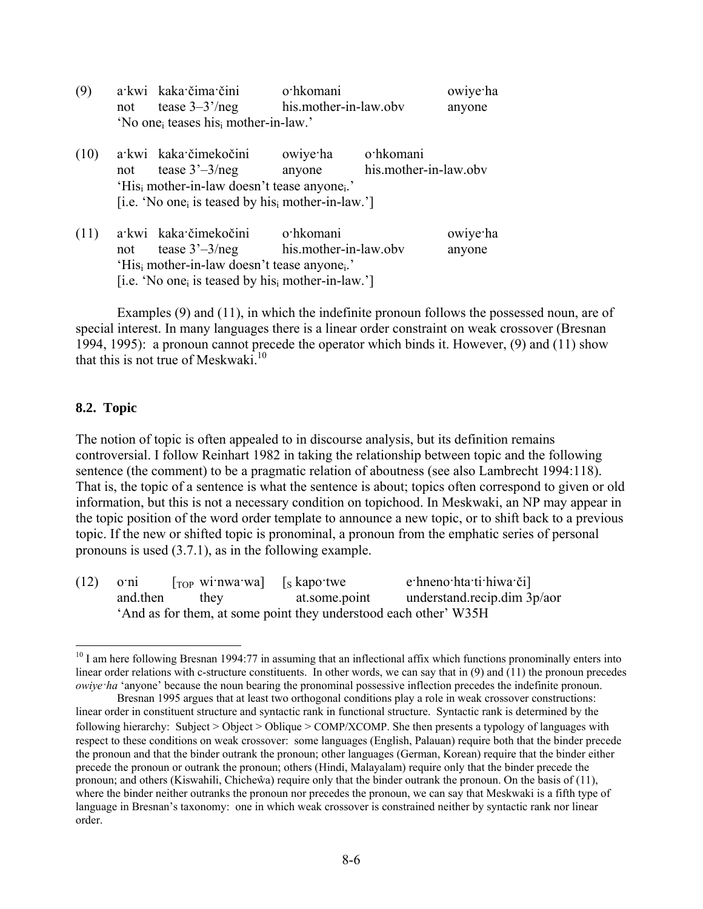| (9)  |     | a kwi kaka čima čini                                                      | o·hkomani             |                    | owiye ha |  |  |  |
|------|-----|---------------------------------------------------------------------------|-----------------------|--------------------|----------|--|--|--|
|      | not | tease $3-3$ '/neg                                                         | his.mother-in-law.obv |                    | anyone   |  |  |  |
|      |     | 'No one <sub>i</sub> teases his <sub>i</sub> mother-in-law.'              |                       |                    |          |  |  |  |
| (10) |     | a kwi kaka čimekočini                                                     |                       | owiye ha o hkomani |          |  |  |  |
|      | not | his.mother-in-law.obv<br>tease $3^3 - 3$ /neg<br>anyone                   |                       |                    |          |  |  |  |
|      |     | 'His <sub>i</sub> mother-in-law doesn't tease anyone <sub>i</sub> .'      |                       |                    |          |  |  |  |
|      |     | [i.e. 'No one <sub>i</sub> is teased by his <sub>i</sub> mother-in-law.'] |                       |                    |          |  |  |  |
| (11) |     | a kwi kaka čimekočini                                                     | o·hkomani             |                    | owiye ha |  |  |  |
|      | not | tease $3'-3/neg$ his mother-in-law obv                                    |                       |                    | anyone   |  |  |  |
|      |     | 'His <sub>i</sub> mother-in-law doesn't tease anyone <sub>i</sub> .'      |                       |                    |          |  |  |  |
|      |     | [i.e. 'No one <sub>i</sub> is teased by his <sub>i</sub> mother-in-law.'] |                       |                    |          |  |  |  |

Examples (9) and (11), in which the indefinite pronoun follows the possessed noun, are of special interest. In many languages there is a linear order constraint on weak crossover (Bresnan 1994, 1995): a pronoun cannot precede the operator which binds it. However, (9) and (11) show that this is not true of Meskwaki. $10$ 

#### **8.2. Topic**

<u>.</u>

The notion of topic is often appealed to in discourse analysis, but its definition remains controversial. I follow Reinhart 1982 in taking the relationship between topic and the following sentence (the comment) to be a pragmatic relation of aboutness (see also Lambrecht 1994:118). That is, the topic of a sentence is what the sentence is about; topics often correspond to given or old information, but this is not a necessary condition on topichood. In Meskwaki, an NP may appear in the topic position of the word order template to announce a new topic, or to shift back to a previous topic. If the new or shifted topic is pronominal, a pronoun from the emphatic series of personal pronouns is used (3.7.1), as in the following example.

 $(12)$  o·ni [<sub>TOP</sub> wi·nwa·wa] [s kapo·twe e·hneno·hta·ti·hiwa·či] and.then they at.some.point understand.recip.dim 3p/aor 'And as for them, at some point they understood each other' W35H

 $10$  I am here following Bresnan 1994:77 in assuming that an inflectional affix which functions pronominally enters into linear order relations with c-structure constituents. In other words, we can say that in  $(9)$  and  $(11)$  the pronoun precedes *owiye·ha* 'anyone' because the noun bearing the pronominal possessive inflection precedes the indefinite pronoun.

Bresnan 1995 argues that at least two orthogonal conditions play a role in weak crossover constructions: linear order in constituent structure and syntactic rank in functional structure. Syntactic rank is determined by the following hierarchy: Subject > Object > Oblique > COMP/XCOMP. She then presents a typology of languages with respect to these conditions on weak crossover: some languages (English, Palauan) require both that the binder precede the pronoun and that the binder outrank the pronoun; other languages (German, Korean) require that the binder either precede the pronoun or outrank the pronoun; others (Hindi, Malayalam) require only that the binder precede the pronoun; and others (Kiswahili, Chicheŵa) require only that the binder outrank the pronoun. On the basis of (11), where the binder neither outranks the pronoun nor precedes the pronoun, we can say that Meskwaki is a fifth type of language in Bresnan's taxonomy: one in which weak crossover is constrained neither by syntactic rank nor linear order.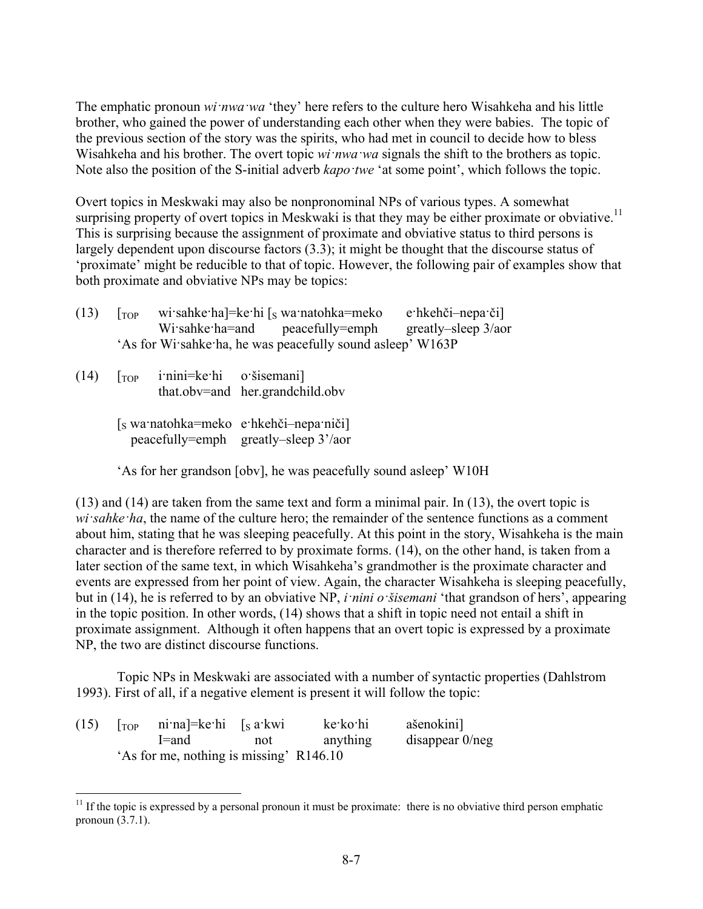The emphatic pronoun *wi·nwa·wa* 'they' here refers to the culture hero Wisahkeha and his little brother, who gained the power of understanding each other when they were babies. The topic of the previous section of the story was the spirits, who had met in council to decide how to bless Wisahkeha and his brother. The overt topic *wi·nwa·wa* signals the shift to the brothers as topic. Note also the position of the S-initial adverb *kapo·twe* 'at some point', which follows the topic.

Overt topics in Meskwaki may also be nonpronominal NPs of various types. A somewhat surprising property of overt topics in Meskwaki is that they may be either proximate or obviative.<sup>11</sup> This is surprising because the assignment of proximate and obviative status to third persons is largely dependent upon discourse factors (3.3); it might be thought that the discourse status of 'proximate' might be reducible to that of topic. However, the following pair of examples show that both proximate and obviative NPs may be topics:

| (13) | $1$ TOP | wi sahke ha]=ke hi $\lceil s \text{ wa } \text{natohka} =$ meko | e hkehči-nepa či                                            |                     |  |  |
|------|---------|-----------------------------------------------------------------|-------------------------------------------------------------|---------------------|--|--|
|      |         | Wisahke ha=and peacefully=emph                                  |                                                             | greatly–sleep 3/aor |  |  |
|      |         |                                                                 | 'As for Wi sahke ha, he was peacefully sound as leep' W163P |                     |  |  |

 $(14)$   $\lceil \text{top} \rceil$  i·nini=ke·hi o·šisemani that.obv=and her.grandchild.obv

1

[S wa·natohka=meko e·hkehči–nepa·niči] peacefully=emph greatly–sleep 3'/aor

'As for her grandson [obv], he was peacefully sound asleep' W10H

(13) and (14) are taken from the same text and form a minimal pair. In (13), the overt topic is *wi·sahke·ha*, the name of the culture hero; the remainder of the sentence functions as a comment about him, stating that he was sleeping peacefully. At this point in the story, Wisahkeha is the main character and is therefore referred to by proximate forms. (14), on the other hand, is taken from a later section of the same text, in which Wisahkeha's grandmother is the proximate character and events are expressed from her point of view. Again, the character Wisahkeha is sleeping peacefully, but in (14), he is referred to by an obviative NP, *i·nini o·šisemani* 'that grandson of hers', appearing in the topic position. In other words, (14) shows that a shift in topic need not entail a shift in proximate assignment. Although it often happens that an overt topic is expressed by a proximate NP, the two are distinct discourse functions.

Topic NPs in Meskwaki are associated with a number of syntactic properties (Dahlstrom 1993). First of all, if a negative element is present it will follow the topic:

| (15) | $\lceil$ <sub>TOP</sub> ni·na]=ke·hi $\lceil$ s a·kwi |     | ke∙ko∙hi | ašenokini]         |
|------|-------------------------------------------------------|-----|----------|--------------------|
|      | l=and                                                 | not | anything | disappear $0$ /neg |
|      | 'As for me, nothing is missing' R146.10               |     |          |                    |

 $11$  If the topic is expressed by a personal pronoun it must be proximate: there is no obviative third person emphatic pronoun (3.7.1).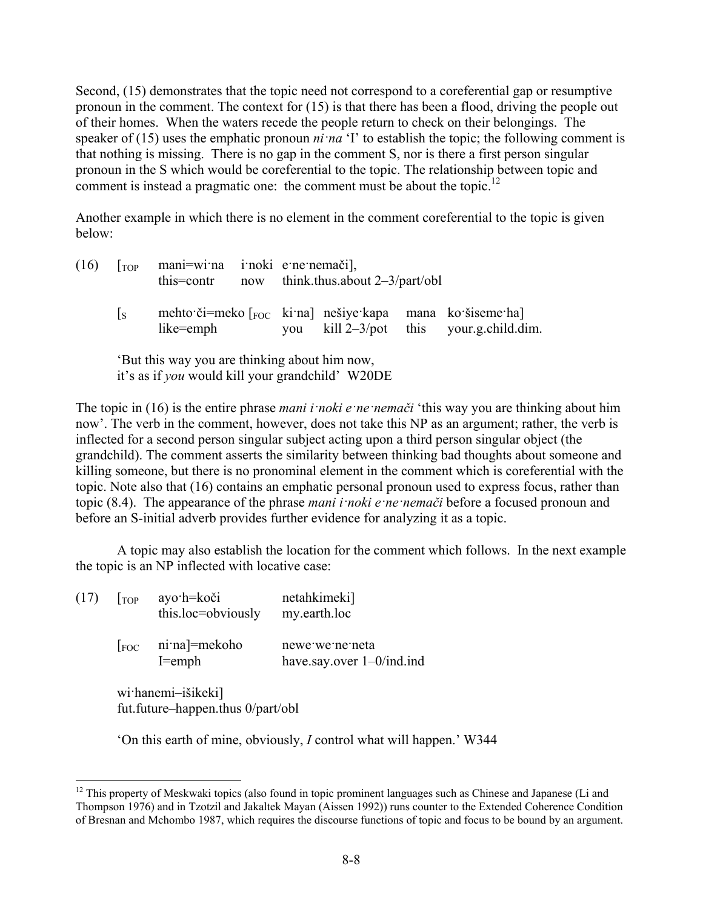Second, (15) demonstrates that the topic need not correspond to a coreferential gap or resumptive pronoun in the comment. The context for (15) is that there has been a flood, driving the people out of their homes. When the waters recede the people return to check on their belongings. The speaker of (15) uses the emphatic pronoun *ni na* 'I' to establish the topic; the following comment is that nothing is missing. There is no gap in the comment S, nor is there a first person singular pronoun in the S which would be coreferential to the topic. The relationship between topic and comment is instead a pragmatic one: the comment must be about the topic.<sup>12</sup>

Another example in which there is no element in the comment coreferential to the topic is given below:

| (16) | $\lceil$ TOP     | this=contr                                    | mani=wi:na i:noki e:ne:nemači],<br>now think thus about $2-3$ /part/obl |  |  |                                                                                                                              |
|------|------------------|-----------------------------------------------|-------------------------------------------------------------------------|--|--|------------------------------------------------------------------------------------------------------------------------------|
|      | $\overline{1}$ s | like=emph                                     |                                                                         |  |  | mehto či=meko $\lceil_{\text{FOC}} \rceil$ ki na nešiye kapa mana ko šiseme ha<br>you kill $2-3$ /pot this your.g.child.dim. |
|      |                  | 'But this way you are thinking about him now, |                                                                         |  |  |                                                                                                                              |

it's as if *you* would kill your grandchild' W20DE

The topic in (16) is the entire phrase *mani i·noki e·ne·nemači* 'this way you are thinking about him now'. The verb in the comment, however, does not take this NP as an argument; rather, the verb is inflected for a second person singular subject acting upon a third person singular object (the grandchild). The comment asserts the similarity between thinking bad thoughts about someone and killing someone, but there is no pronominal element in the comment which is coreferential with the topic. Note also that (16) contains an emphatic personal pronoun used to express focus, rather than topic (8.4). The appearance of the phrase *mani i·noki e·ne·nemači* before a focused pronoun and before an S-initial adverb provides further evidence for analyzing it as a topic.

A topic may also establish the location for the comment which follows. In the next example the topic is an NP inflected with locative case:

| $(17)$   $_{TOP}$ |                                                         | ayo·h=koči<br>this.loc=obviously     | netahkimeki]<br>my.earth.loc                    |  |  |  |
|-------------------|---------------------------------------------------------|--------------------------------------|-------------------------------------------------|--|--|--|
|                   | FOC                                                     | $ni$ na]=mekoho<br>$I = \text{emph}$ | newe we ne neta<br>have say over $1-0$ /ind.ind |  |  |  |
|                   | wi hanemi-išikeki]<br>fut.future-happen.thus 0/part/obl |                                      |                                                 |  |  |  |

1

'On this earth of mine, obviously, *I* control what will happen.' W344

 $12$  This property of Meskwaki topics (also found in topic prominent languages such as Chinese and Japanese (Li and Thompson 1976) and in Tzotzil and Jakaltek Mayan (Aissen 1992)) runs counter to the Extended Coherence Condition of Bresnan and Mchombo 1987, which requires the discourse functions of topic and focus to be bound by an argument.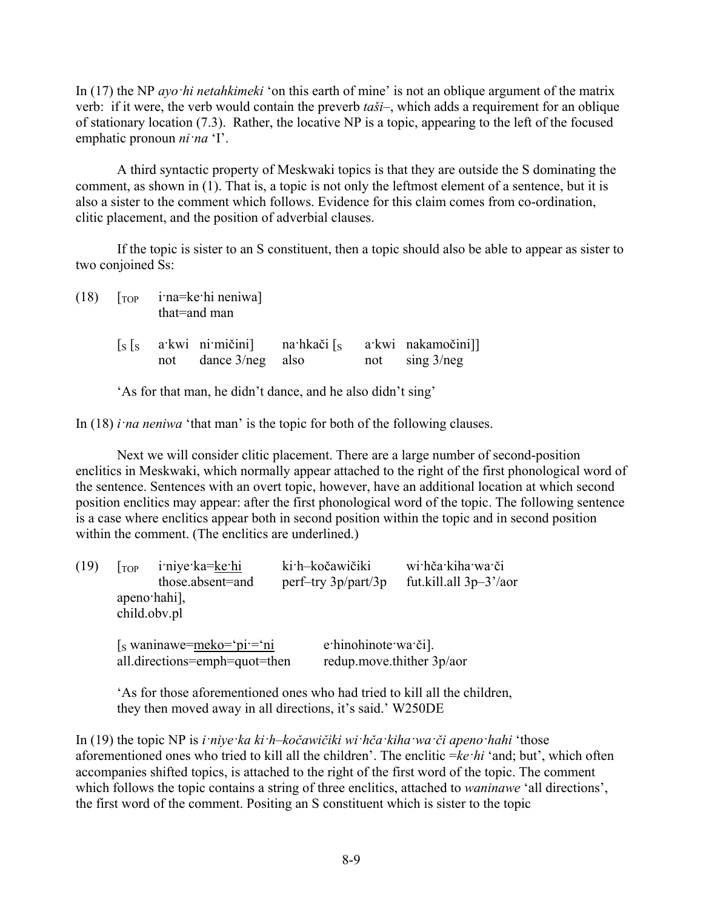In (17) the NP *ayo·hi netahkimeki* 'on this earth of mine' is not an oblique argument of the matrix verb: if it were, the verb would contain the preverb *taši*–, which adds a requirement for an oblique of stationary location (7.3). Rather, the locative NP is a topic, appearing to the left of the focused emphatic pronoun *ni·na* 'I'.

A third syntactic property of Meskwaki topics is that they are outside the S dominating the comment, as shown in (1). That is, a topic is not only the leftmost element of a sentence, but it is also a sister to the comment which follows. Evidence for this claim comes from co-ordination, clitic placement, and the position of adverbial clauses.

If the topic is sister to an S constituent, then a topic should also be able to appear as sister to two conjoined Ss:

 $(18)$   $[<sub>TOP</sub>$  i·na=ke·hi neniwa] that=and man  $[s]$  a·kwi ni·mičini] na·hkači  $[s]$  a·kwi nakamočini]

'As for that man, he didn't dance, and he also didn't sing'

In (18) *i na neniwa* 'that man' is the topic for both of the following clauses.

not dance 3/neg also not sing 3/neg

Next we will consider clitic placement. There are a large number of second-position enclitics in Meskwaki, which normally appear attached to the right of the first phonological word of the sentence. Sentences with an overt topic, however, have an additional location at which second position enclitics may appear: after the first phonological word of the topic. The following sentence is a case where enclitics appear both in second position within the topic and in second position within the comment. (The enclitics are underlined.)

| (19) | $1$ TOP | iniye ka=ke hi<br>those.absent=and<br>apeno hahi],<br>child.obv.pl |  | ki h-kočawičiki<br>perf-try 3p/part/3p           | wi hča kiha wa či<br>fut.kill.all $3p-3'/a$ or |
|------|---------|--------------------------------------------------------------------|--|--------------------------------------------------|------------------------------------------------|
|      |         | $s$ waninawe=meko='pi'='ni<br>all.directions=emph=quot=then        |  | e hinohinote wa či.<br>redup.move.thither 3p/aor |                                                |

'As for those aforementioned ones who had tried to kill all the children, they then moved away in all directions, it's said.' W250DE

In (19) the topic NP is *i* nive ka ki h–kočawičiki wi hča kiha wa či apeno hahi 'those aforementioned ones who tried to kill all the children'. The enclitic =*ke·hi* 'and; but', which often accompanies shifted topics, is attached to the right of the first word of the topic. The comment which follows the topic contains a string of three enclitics, attached to *waninawe* 'all directions', the first word of the comment. Positing an S constituent which is sister to the topic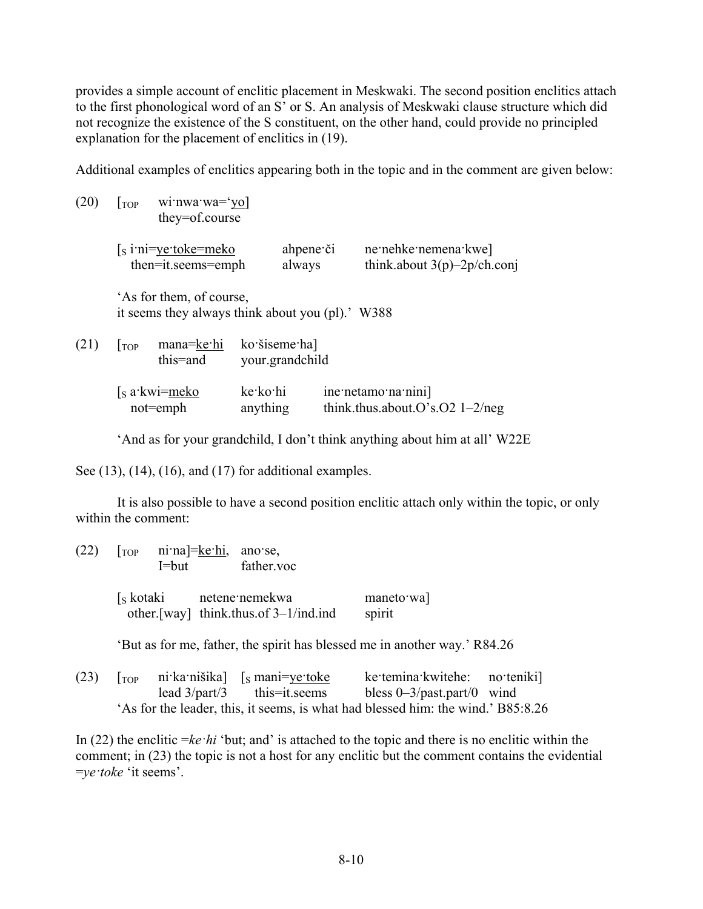provides a simple account of enclitic placement in Meskwaki. The second position enclitics attach to the first phonological word of an S' or S. An analysis of Meskwaki clause structure which did not recognize the existence of the S constituent, on the other hand, could provide no principled explanation for the placement of enclitics in (19).

Additional examples of enclitics appearing both in the topic and in the comment are given below:

| (20) | $ $ TOP                                                                      | wi:nwa:wa='yo]<br>they=of.course             |                                  |                     |                                                         |                                                        |
|------|------------------------------------------------------------------------------|----------------------------------------------|----------------------------------|---------------------|---------------------------------------------------------|--------------------------------------------------------|
|      |                                                                              | $[s$ i'ni=ye:toke=meko<br>then=it.seems=emph |                                  | ahpene či<br>always |                                                         | ne nehke nemena kwe]<br>think.about $3(p)$ –2p/ch.conj |
|      | 'As for them, of course,<br>it seems they always think about you (pl).' W388 |                                              |                                  |                     |                                                         |                                                        |
| (21) | $1$ TOP                                                                      | mana=ke·hi<br>this=and                       | ko šiseme hal<br>your.grandchild |                     |                                                         |                                                        |
|      | [s a kwi=meko]<br>$not$ = $emph$                                             |                                              | ke ko hi<br>anything             |                     | ine netamo na nini<br>think.thus.about.O's.O2 $1-2/neg$ |                                                        |

'And as for your grandchild, I don't think anything about him at all' W22E

See (13), (14), (16), and (17) for additional examples.

It is also possible to have a second position enclitic attach only within the topic, or only within the comment:

| (22) | ni na = ke hi, ano se,<br>TOP<br>I=but |  | father.voc                                                               |                     |  |
|------|----------------------------------------|--|--------------------------------------------------------------------------|---------------------|--|
|      |                                        |  | [s kotaki netene nemekwa<br>other. [way] think. thus. of $3-1/ind$ . ind | maneto wa<br>spirit |  |

'But as for me, father, the spirit has blessed me in another way.' R84.26

(23)  $\begin{bmatrix} \text{Top} & \text{ni:} \text{ka:} \text{ni:} \text{k} \text{a} \\ \text{is:} \text{man} & \text{in:} \text{k} \end{bmatrix}$  [s mani=ye: toke ke: temina: kwitehe: no: teniki] lead 3/part/3 this=it.seems bless 0–3/past.part/0 wind 'As for the leader, this, it seems, is what had blessed him: the wind.' B85:8.26

In (22) the enclitic =*ke·hi* 'but; and' is attached to the topic and there is no enclitic within the comment; in (23) the topic is not a host for any enclitic but the comment contains the evidential =*ye·toke* 'it seems'.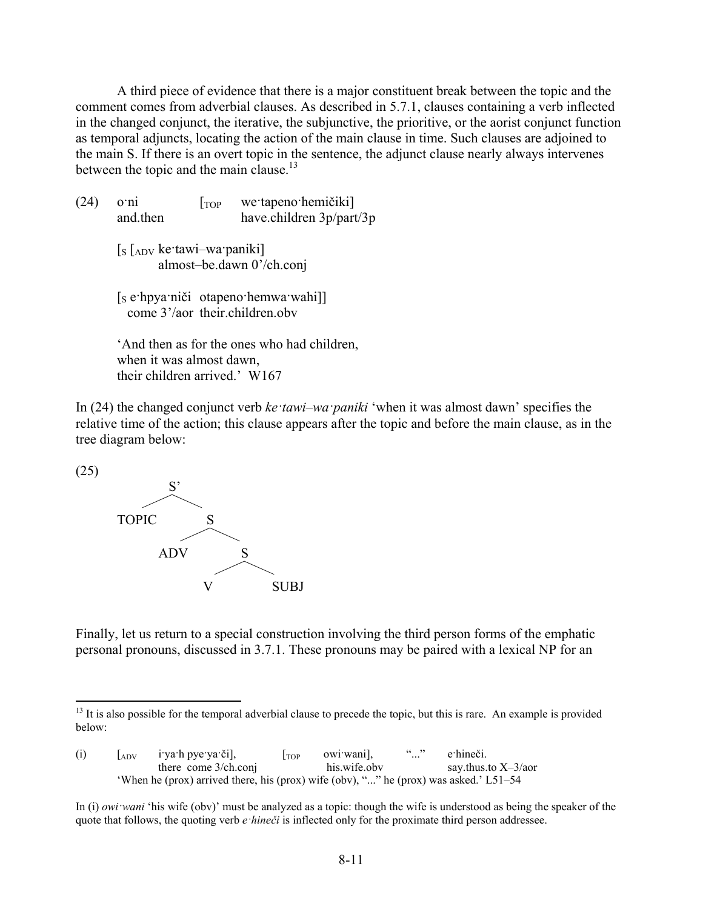A third piece of evidence that there is a major constituent break between the topic and the comment comes from adverbial clauses. As described in 5.7.1, clauses containing a verb inflected in the changed conjunct, the iterative, the subjunctive, the prioritive, or the aorist conjunct function as temporal adjuncts, locating the action of the main clause in time. Such clauses are adjoined to the main S. If there is an overt topic in the sentence, the adjunct clause nearly always intervenes between the topic and the main clause.<sup>13</sup>

 $(24)$  o·ni [TOP we·tapeno·hemičiki] and.then have.children 3p/part/3p  $\left[ \right]$   $\left[ \right]$   $\left[ \right]$   $\left[ \right]$   $\left[ \right]$   $\left[ \right]$   $\left[ \right]$   $\left[ \right]$   $\left[ \right]$   $\left[ \right]$   $\left[ \right]$   $\left[ \right]$   $\left[ \right]$   $\left[ \right]$   $\left[ \right]$   $\left[ \right]$   $\left[ \right]$   $\left[ \right]$   $\left[ \right]$   $\left[ \right]$   $\left[ \right]$   $\left[ \right]$   $\left[ \right]$   $\left[ \right]$   $\left[ \$  almost–be.dawn 0'/ch.conj [s e·hpya·niči otapeno·hemwa·wahi]] come 3'/aor their children obv

'And then as for the ones who had children, when it was almost dawn, their children arrived.' W167

In (24) the changed conjunct verb *ke·tawi–wa·paniki* 'when it was almost dawn' specifies the relative time of the action; this clause appears after the topic and before the main clause, as in the tree diagram below:

(25)

1



Finally, let us return to a special construction involving the third person forms of the emphatic personal pronouns, discussed in 3.7.1. These pronouns may be paired with a lexical NP for an

 $<sup>13</sup>$  It is also possible for the temporal adverbial clause to precede the topic, but this is rare. An example is provided</sup> below:

| (i) | $A_{\rm DV}$ | i ya h pye ya či],                                                                    | l top | owi wani.    | (1)<br>$\cdots$ | e hineči.                         |
|-----|--------------|---------------------------------------------------------------------------------------|-------|--------------|-----------------|-----------------------------------|
|     |              | there come 3/ch.conj                                                                  |       | his wife oby |                 | say.thus.to $X\rightarrow 3/a$ or |
|     |              | 'When he (prox) arrived there, his (prox) wife (obv), "" he (prox) was asked.' L51–54 |       |              |                 |                                   |

In (i) *owi·wani* 'his wife (obv)' must be analyzed as a topic: though the wife is understood as being the speaker of the quote that follows, the quoting verb *e·hineči* is inflected only for the proximate third person addressee.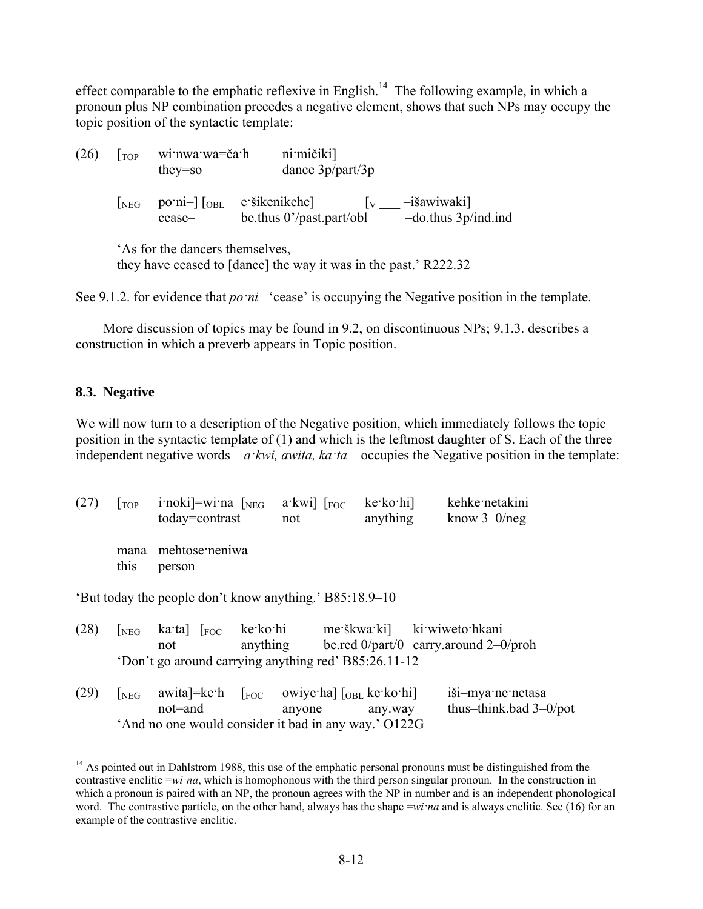effect comparable to the emphatic reflexive in English.<sup>14</sup> The following example, in which a pronoun plus NP combination precedes a negative element, shows that such NPs may occupy the topic position of the syntactic template:

 $(26)$   $\lceil \text{Top} \rceil$  wi·nwa·wa=ča·h ni·mičiki] they=so dance 3p/part/3p  $[\text{neg} \quad \text{po}\text{-ni} -] [\text{obj} \quad \text{e} \cdot \text{si} \times \text{ke} - \text{si} \times \text{se} \times \text{e} - \text{is} \times \text{sw} \times \text{si}]$ cease– be.thus 0'/past.part/obl –do.thus 3p/ind.ind 'As for the dancers themselves, they have ceased to [dance] the way it was in the past.' R222.32

See 9.1.2. for evidence that *po*  $ni$ – 'cease' is occupying the Negative position in the template.

More discussion of topics may be found in 9.2, on discontinuous NPs; 9.1.3. describes a construction in which a preverb appears in Topic position.

#### **8.3. Negative**

1

We will now turn to a description of the Negative position, which immediately follows the topic position in the syntactic template of (1) and which is the leftmost daughter of S. Each of the three independent negative words—*a·kwi, awita, ka·ta*—occupies the Negative position in the template:

| (27) | $\Gamma$ OP  | i'noki]=wi'na $\lceil_{NEG}\rceil$<br>today=contrast                                  |                      | $a$ ·kwi] [FOC<br>not | ke ko hi<br>anything | kehke netakini<br>know $3-0$ /neg                           |
|------|--------------|---------------------------------------------------------------------------------------|----------------------|-----------------------|----------------------|-------------------------------------------------------------|
|      | mana<br>this | mehtose neniwa<br>person                                                              |                      |                       |                      |                                                             |
|      |              | 'But today the people don't know anything.' B85:18.9–10                               |                      |                       |                      |                                                             |
| (28) | NEG          | ka ta $ _{\text{FOC}}$<br>not<br>'Don't go around carrying anything red' B85:26.11-12 | ke ko hi<br>anything | me škwa ki            |                      | ki wiweto hkani<br>be.red $0$ /part/0 carry.around 2-0/proh |

| (29) |                                                      |        | $\lceil \text{neg} \rceil$ awita]=ke·h $\lceil \text{foc} \rceil$ owiye·ha] $\lceil \text{oBL} \rceil$ ke·ko·hi | iši-mya·ne·netasa         |
|------|------------------------------------------------------|--------|-----------------------------------------------------------------------------------------------------------------|---------------------------|
|      | not=and                                              | anyone | any.way                                                                                                         | thus-think bad $3-0$ /pot |
|      | 'And no one would consider it bad in any way.' O122G |        |                                                                                                                 |                           |

<sup>&</sup>lt;sup>14</sup> As pointed out in Dahlstrom 1988, this use of the emphatic personal pronouns must be distinguished from the contrastive enclitic  $=w_i \cdot n_a$ , which is homophonous with the third person singular pronoun. In the construction in which a pronoun is paired with an NP, the pronoun agrees with the NP in number and is an independent phonological word. The contrastive particle, on the other hand, always has the shape =*wi·na* and is always enclitic. See (16) for an example of the contrastive enclitic.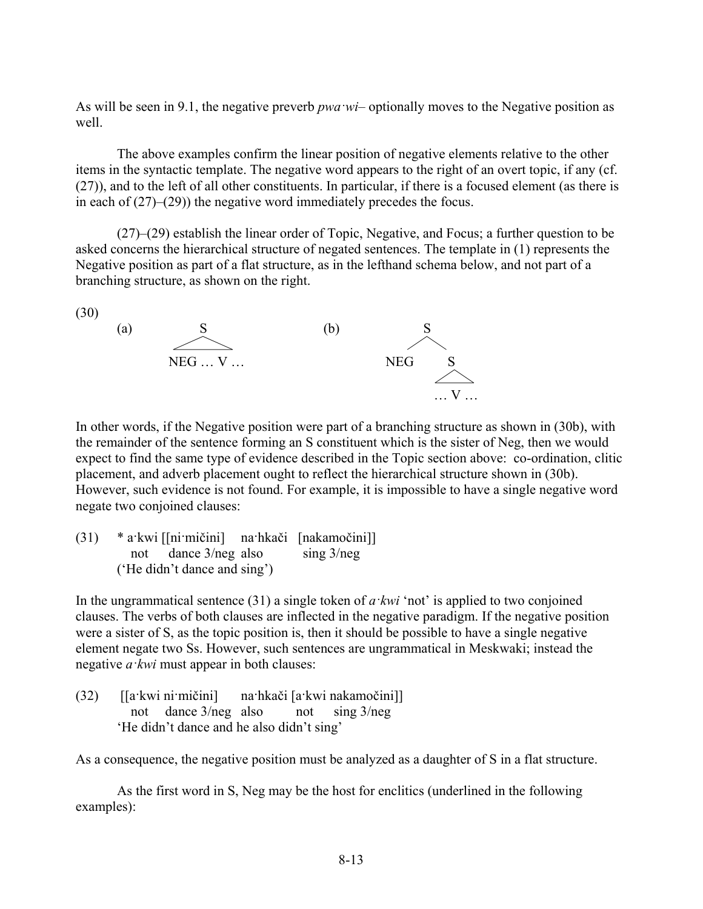As will be seen in 9.1, the negative preverb *pwa wi*– optionally moves to the Negative position as well.

The above examples confirm the linear position of negative elements relative to the other items in the syntactic template. The negative word appears to the right of an overt topic, if any (cf. (27)), and to the left of all other constituents. In particular, if there is a focused element (as there is in each of (27)–(29)) the negative word immediately precedes the focus.

(27)–(29) establish the linear order of Topic, Negative, and Focus; a further question to be asked concerns the hierarchical structure of negated sentences. The template in (1) represents the Negative position as part of a flat structure, as in the lefthand schema below, and not part of a branching structure, as shown on the right.



In other words, if the Negative position were part of a branching structure as shown in (30b), with the remainder of the sentence forming an S constituent which is the sister of Neg, then we would expect to find the same type of evidence described in the Topic section above: co-ordination, clitic placement, and adverb placement ought to reflect the hierarchical structure shown in (30b). However, such evidence is not found. For example, it is impossible to have a single negative word negate two conjoined clauses:

(31) \* a·kwi [[ni·mičini] na·hkači [nakamočini]] not dance 3/neg also sing 3/neg ('He didn't dance and sing')

In the ungrammatical sentence (31) a single token of *a·kwi* 'not' is applied to two conjoined clauses. The verbs of both clauses are inflected in the negative paradigm. If the negative position were a sister of S, as the topic position is, then it should be possible to have a single negative element negate two Ss. However, such sentences are ungrammatical in Meskwaki; instead the negative *a·kwi* must appear in both clauses:

(32) [[a·kwi ni·mičini] na·hkači [a·kwi nakamočini]] not dance 3/neg also not sing 3/neg 'He didn't dance and he also didn't sing'

As a consequence, the negative position must be analyzed as a daughter of S in a flat structure.

As the first word in S, Neg may be the host for enclitics (underlined in the following examples):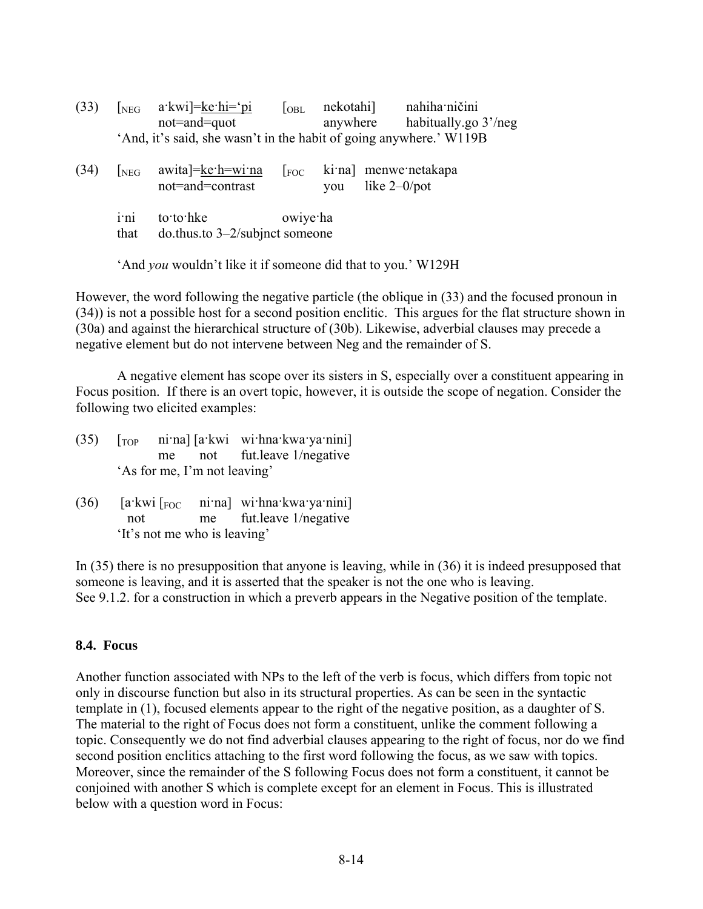(33)  $\lceil_{NEG}$  a·kwi $\rceil =$ ke·hi $=$ ·pi  $\lceil_{OBL}$  nekotahi $\rceil$  nahiha·ničini not=and=quot anywhere habitually.go 3'/neg 'And, it's said, she wasn't in the habit of going anywhere.' W119B

| (34) | NEG  | awita]=ke·h=wi·na<br>not=and=contrast                   |          | $\lceil$ <sub>FOC</sub> ki na menwe netakapa<br>you like $2-0$ /pot |
|------|------|---------------------------------------------------------|----------|---------------------------------------------------------------------|
|      | that | i'ni to'to'hke<br>$\omega$ .thus.to 3–2/subjnct someone | owiye ha |                                                                     |

'And *you* wouldn't like it if someone did that to you.' W129H

However, the word following the negative particle (the oblique in (33) and the focused pronoun in (34)) is not a possible host for a second position enclitic. This argues for the flat structure shown in (30a) and against the hierarchical structure of (30b). Likewise, adverbial clauses may precede a negative element but do not intervene between Neg and the remainder of S.

A negative element has scope over its sisters in S, especially over a constituent appearing in Focus position. If there is an overt topic, however, it is outside the scope of negation. Consider the following two elicited examples:

- $(35)$   $\lceil$  Top ni·na]  $\lceil$  a·kwi wi·hna·kwa·ya·nini] me not fut.leave 1/negative 'As for me, I'm not leaving'
- $(36)$  [a·kwi [Foc ni·na] wi·hna·kwa·ya·nini] not me fut.leave 1/negative 'It's not me who is leaving'

In (35) there is no presupposition that anyone is leaving, while in (36) it is indeed presupposed that someone is leaving, and it is asserted that the speaker is not the one who is leaving. See 9.1.2. for a construction in which a preverb appears in the Negative position of the template.

## **8.4. Focus**

Another function associated with NPs to the left of the verb is focus, which differs from topic not only in discourse function but also in its structural properties. As can be seen in the syntactic template in (1), focused elements appear to the right of the negative position, as a daughter of S. The material to the right of Focus does not form a constituent, unlike the comment following a topic. Consequently we do not find adverbial clauses appearing to the right of focus, nor do we find second position enclitics attaching to the first word following the focus, as we saw with topics. Moreover, since the remainder of the S following Focus does not form a constituent, it cannot be conjoined with another S which is complete except for an element in Focus. This is illustrated below with a question word in Focus: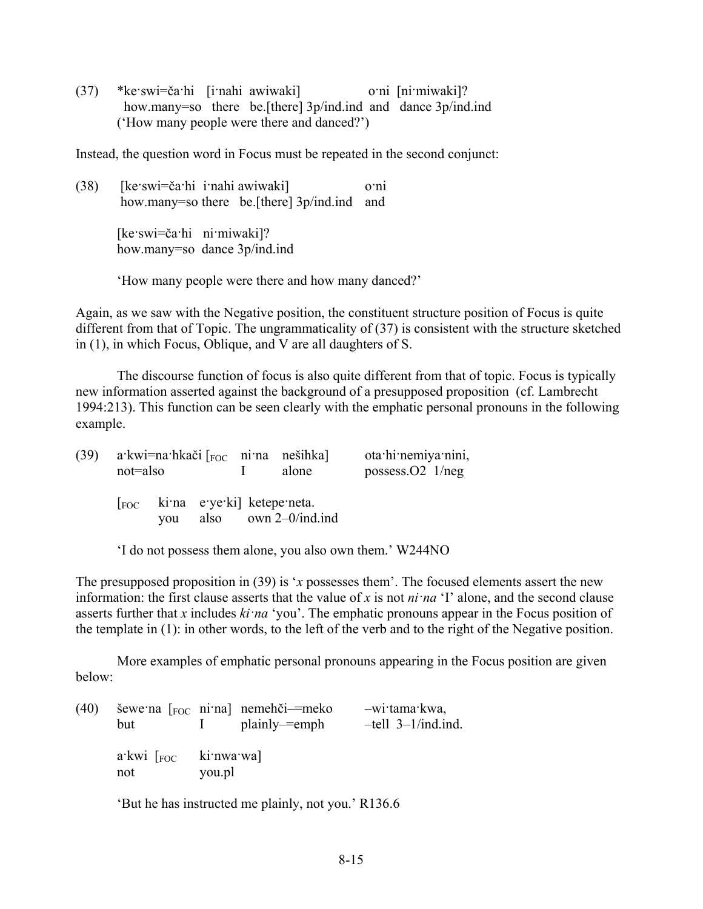(37) \*ke·swi=ča·hi [i·nahi awiwaki] o·ni [ni·miwaki]? how.many=so there be.[there] 3p/ind.ind and dance 3p/ind.ind ('How many people were there and danced?')

Instead, the question word in Focus must be repeated in the second conjunct:

(38) [ke·swi=ča·hi i·nahi awiwaki] o·ni how.many=so there be.[there] 3p/ind.ind and

> [ke·swi=ča·hi ni·miwaki]? how.many=so dance 3p/ind.ind

'How many people were there and how many danced?'

Again, as we saw with the Negative position, the constituent structure position of Focus is quite different from that of Topic. The ungrammaticality of (37) is consistent with the structure sketched in (1), in which Focus, Oblique, and V are all daughters of S.

The discourse function of focus is also quite different from that of topic. Focus is typically new information asserted against the background of a presupposed proposition (cf. Lambrecht 1994:213). This function can be seen clearly with the emphatic personal pronouns in the following example.

| (39) | not=also |                                                          |  | a kwi=na hkači $\lceil_{\text{FOC}}$ ni na nešihka<br>alone | ota hi nemiya nini,<br>possess. $O2 \frac{1}{neg}$ |
|------|----------|----------------------------------------------------------|--|-------------------------------------------------------------|----------------------------------------------------|
|      |          | $\lceil$ <sub>FOC</sub> kima e ye ki ketepe neta.<br>vou |  | also $own 2-0/ind$ .ind                                     |                                                    |

'I do not possess them alone, you also own them.' W244NO

The presupposed proposition in (39) is '*x* possesses them'. The focused elements assert the new information: the first clause asserts that the value of *x* is not *ni·na* 'I' alone, and the second clause asserts further that *x* includes *ki·na* 'you'. The emphatic pronouns appear in the Focus position of the template in (1): in other words, to the left of the verb and to the right of the Negative position.

More examples of emphatic personal pronouns appearing in the Focus position are given below:

| (40) | but                                                | $\mathbf{1}$ | šewe na $\lceil_{\text{FOC}}$ ni na nemehči-=meko<br>plainly— emph | -wijtama kwa,<br>$-$ tell $3-1$ /ind.ind. |
|------|----------------------------------------------------|--------------|--------------------------------------------------------------------|-------------------------------------------|
|      | $a$ ·kwi $\lceil$ <sub>FOC</sub> ki·nwa·wa]<br>not | you.pl       |                                                                    |                                           |

'But he has instructed me plainly, not you.' R136.6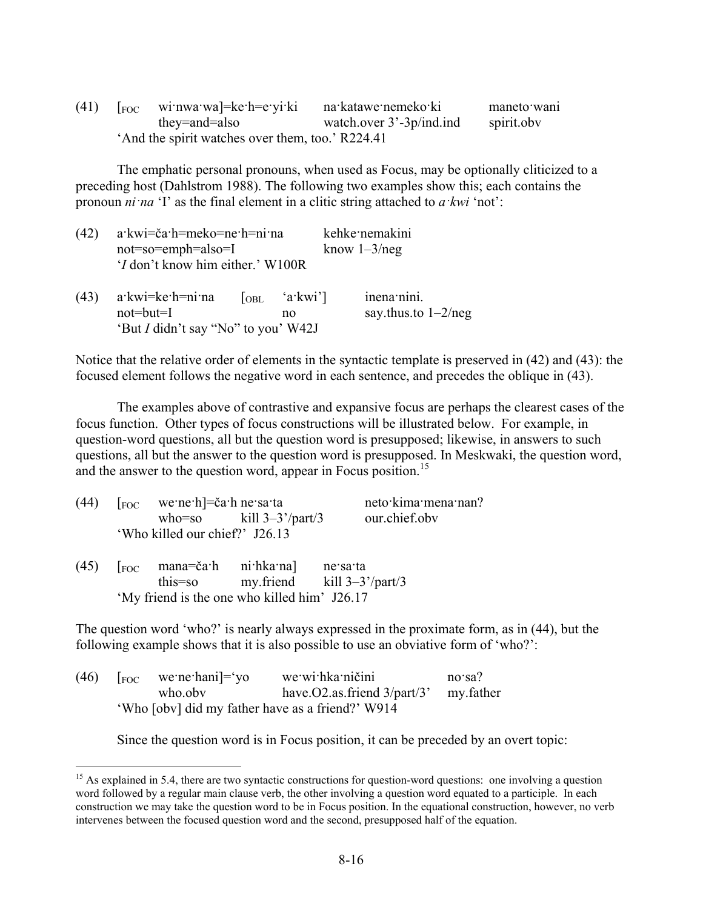| (41) | $\lceil$ <sub>FOC</sub> wi:nwa:wa]=ke:h=e:yi:ki | na katawe nemeko ki         | maneto wani |
|------|-------------------------------------------------|-----------------------------|-------------|
|      | they=and=also                                   | watch.over $3'-3p/ind$ .ind | spirit.obv  |
|      |                                                 |                             |             |

The emphatic personal pronouns, when used as Focus, may be optionally cliticized to a preceding host (Dahlstrom 1988). The following two examples show this; each contains the pronoun *ni·na* 'I' as the final element in a clitic string attached to *a·kwi* 'not':

| (42) | $a$ ·kwi=č $a$ ·h=meko=ne·h=ni·na<br>$not = so = emph = also = I$<br>'I don't know him either.' W100R |  |                                                                 | kehke nemakini<br>know $1 - 3$ /neg  |  |  |
|------|-------------------------------------------------------------------------------------------------------|--|-----------------------------------------------------------------|--------------------------------------|--|--|
| (43) | $a$ : kwi=ke: h=ni na<br>$not=but=I$<br>'But I didn't say "No" to you' W42J                           |  | $\begin{bmatrix} \text{OBL} & \text{a-kwi} \end{bmatrix}$<br>no | inena nini.<br>say thus to $1-2/neg$ |  |  |

Notice that the relative order of elements in the syntactic template is preserved in (42) and (43): the focused element follows the negative word in each sentence, and precedes the oblique in (43).

The examples above of contrastive and expansive focus are perhaps the clearest cases of the focus function. Other types of focus constructions will be illustrated below. For example, in question-word questions, all but the question word is presupposed; likewise, in answers to such questions, all but the answer to the question word is presupposed. In Meskwaki, the question word, and the answer to the question word, appear in Focus position.<sup>15</sup>

| (44) | $\lceil$ <sub>FOC</sub> we ne h $\lceil$ =ča h ne sa ta                                 |                                              |          | neto kima mena nan? |
|------|-----------------------------------------------------------------------------------------|----------------------------------------------|----------|---------------------|
|      |                                                                                         | who=so $\text{kill } 3-3'/\text{part}/3$     |          | our.chief.obv       |
|      | 'Who killed our chief?' J26.13                                                          |                                              |          |                     |
|      | $(45)$ $\left[\begin{array}{ccc} 1 & 0 \\ 0 & 1 \end{array}\right]$ mana=ča·h ni·hka·na | this=so my.friend kill $3-3^2$ /part/3       | ne sa ta |                     |
|      |                                                                                         | 'My friend is the one who killed him' J26.17 |          |                     |

The question word 'who?' is nearly always expressed in the proximate form, as in (44), but the following example shows that it is also possible to use an obviative form of 'who?':

| (46) |                                                  | $\lceil$ <sub>FOC</sub> we ne hani $\lceil$ = 'yo | we wi hka ničini                           | $no$ sa? |  |  |
|------|--------------------------------------------------|---------------------------------------------------|--------------------------------------------|----------|--|--|
|      |                                                  | who oby                                           | have $O2$ as friend $3$ /part/3' my father |          |  |  |
|      | 'Who [obv] did my father have as a friend?' W914 |                                                   |                                            |          |  |  |

<u>.</u>

Since the question word is in Focus position, it can be preceded by an overt topic:

 $15$  As explained in 5.4, there are two syntactic constructions for question-word questions: one involving a question word followed by a regular main clause verb, the other involving a question word equated to a participle. In each construction we may take the question word to be in Focus position. In the equational construction, however, no verb intervenes between the focused question word and the second, presupposed half of the equation.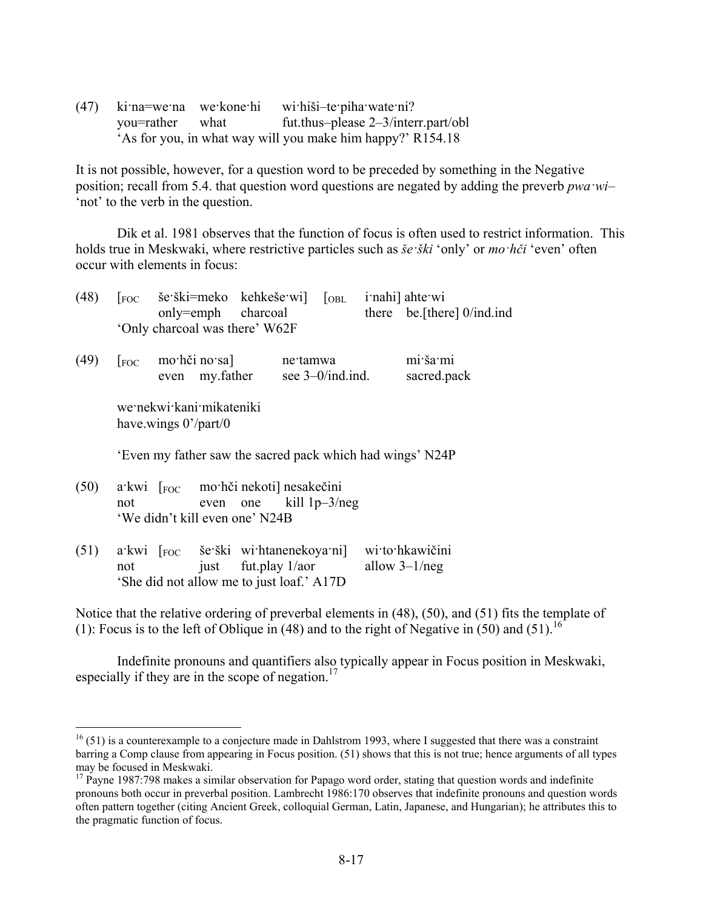(47) ki·na=we·na we·kone·hi wi·hiši–te·piha·wate·ni? you=rather what fut.thus–please 2–3/interr.part/obl 'As for you, in what way will you make him happy?' R154.18

It is not possible, however, for a question word to be preceded by something in the Negative position; recall from 5.4. that question word questions are negated by adding the preverb *pwa·wi*– 'not' to the verb in the question.

Dik et al. 1981 observes that the function of focus is often used to restrict information. This holds true in Meskwaki, where restrictive particles such as *še·ški* 'only' or *mo·hči* 'even' often occur with elements in focus:

| (48) | i nahi] ahte wi<br>$[$ <sub>FOC</sub> še·ški=meko kehkeše·wi]<br>$\sqrt{\text{OBL}}$<br>there be [there] 0/ind.ind<br>only=emph charcoal<br>'Only charcoal was there' W62F |  |  |  |  |  |
|------|----------------------------------------------------------------------------------------------------------------------------------------------------------------------------|--|--|--|--|--|
| (49) | mi ša mi<br>[Foc mo·hči no·sa] ne·tamwa<br>even my.father see 3–0/ind.ind.<br>sacred.pack                                                                                  |  |  |  |  |  |
|      | we nekwi kani mikateniki<br>have wings $0^{\prime}/part/0$                                                                                                                 |  |  |  |  |  |
|      | 'Even my father saw the sacred pack which had wings' N24P                                                                                                                  |  |  |  |  |  |
| (50) | a kwi [Foc mo hči nekoti] nesakečini<br>even one kill $1p-3/neg$<br>not<br>'We didn't kill even one' N24B                                                                  |  |  |  |  |  |
| (51) | a kwi [FOC še ški wi htanenekoya ni] wi to hkawičini<br>just fut.play $1/a$ or<br>allow $3-1/neg$<br>not<br>'She did not allow me to just loaf.' A17D                      |  |  |  |  |  |

Notice that the relative ordering of preverbal elements in (48), (50), and (51) fits the template of (1): Focus is to the left of Oblique in (48) and to the right of Negative in (50) and (51).<sup>16</sup>

Indefinite pronouns and quantifiers also typically appear in Focus position in Meskwaki, especially if they are in the scope of negation.<sup>17</sup>

<u>.</u>

 $^{16}$  (51) is a counterexample to a conjecture made in Dahlstrom 1993, where I suggested that there was a constraint barring a Comp clause from appearing in Focus position. (51) shows that this is not true; hence arguments of all types may be focused in Meskwaki.

 $17$  Payne 1987:798 makes a similar observation for Papago word order, stating that question words and indefinite pronouns both occur in preverbal position. Lambrecht 1986:170 observes that indefinite pronouns and question words often pattern together (citing Ancient Greek, colloquial German, Latin, Japanese, and Hungarian); he attributes this to the pragmatic function of focus.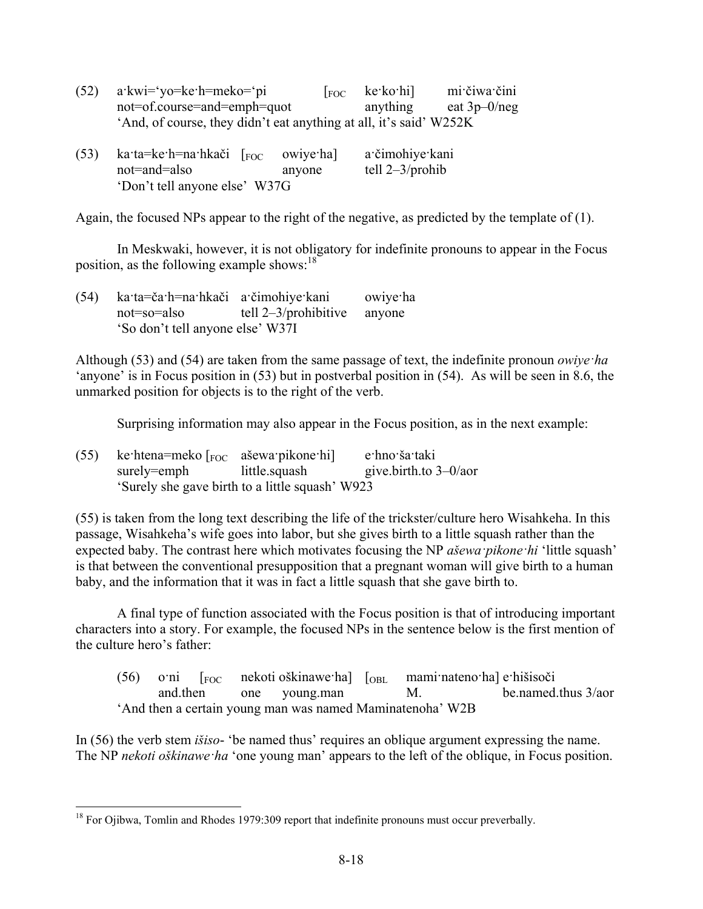| $(52)$ a kwi='yo=ke h=meko='pi                                     | $\left  \begin{array}{cc} \text{FOC} & \text{ke-ko-hi} \end{array} \right $ | mi čiwa čini   |
|--------------------------------------------------------------------|-----------------------------------------------------------------------------|----------------|
| not=of.course=and=emph=quot                                        | anything                                                                    | eat $3p-0/neg$ |
| 'And, of course, they didn't eat anything at all, it's said' W252K |                                                                             |                |
|                                                                    |                                                                             |                |

| (53) | ka·ta=ke·h=na·hkači $\lceil$ <sub>FOC</sub> owiye·ha] |        | a čimohiye kani    |
|------|-------------------------------------------------------|--------|--------------------|
|      | not=and=also                                          | anyone | tell $2-3$ /prohib |
|      | 'Don't tell anyone else' W37G                         |        |                    |

Again, the focused NPs appear to the right of the negative, as predicted by the template of (1).

In Meskwaki, however, it is not obligatory for indefinite pronouns to appear in the Focus position, as the following example shows: $18$ 

| (54) | ka·ta=ča·h=na·hkači a·čimohiye·kani |                                | owiye ha |
|------|-------------------------------------|--------------------------------|----------|
|      | not=so=also                         | tell $2-3$ /prohibitive anyone |          |
|      | 'So don't tell anyone else' W37I    |                                |          |

Although (53) and (54) are taken from the same passage of text, the indefinite pronoun *owiye·ha* 'anyone' is in Focus position in (53) but in postverbal position in (54). As will be seen in 8.6, the unmarked position for objects is to the right of the verb.

Surprising information may also appear in the Focus position, as in the next example:

| (55) | ke htena=meko $\lceil_{\text{FOC}}$ ašewa pikone hi |                                                 | e·hno·ša·taki            |
|------|-----------------------------------------------------|-------------------------------------------------|--------------------------|
|      | surely=emph little.squash                           |                                                 | give.birth.to $3-0$ /aor |
|      |                                                     | 'Surely she gave birth to a little squash' W923 |                          |

(55) is taken from the long text describing the life of the trickster/culture hero Wisahkeha. In this passage, Wisahkeha's wife goes into labor, but she gives birth to a little squash rather than the expected baby. The contrast here which motivates focusing the NP *ašewa·pikone·hi* 'little squash' is that between the conventional presupposition that a pregnant woman will give birth to a human baby, and the information that it was in fact a little squash that she gave birth to.

A final type of function associated with the Focus position is that of introducing important characters into a story. For example, the focused NPs in the sentence below is the first mention of the culture hero's father:

 $(56)$  o·ni  $\lceil$ <sub>FOC</sub> nekoti oškinawe·ha]  $\lceil$ <sub>OBL</sub> mami·nateno·ha] e·hišisoči and.then one young.man M. be.named.thus 3/aor 'And then a certain young man was named Maminatenoha' W2B

In (56) the verb stem *išiso*- 'be named thus' requires an oblique argument expressing the name. The NP *nekoti oškinawe·ha* 'one young man' appears to the left of the oblique, in Focus position.

<u>.</u>

 $18$  For Ojibwa, Tomlin and Rhodes 1979:309 report that indefinite pronouns must occur preverbally.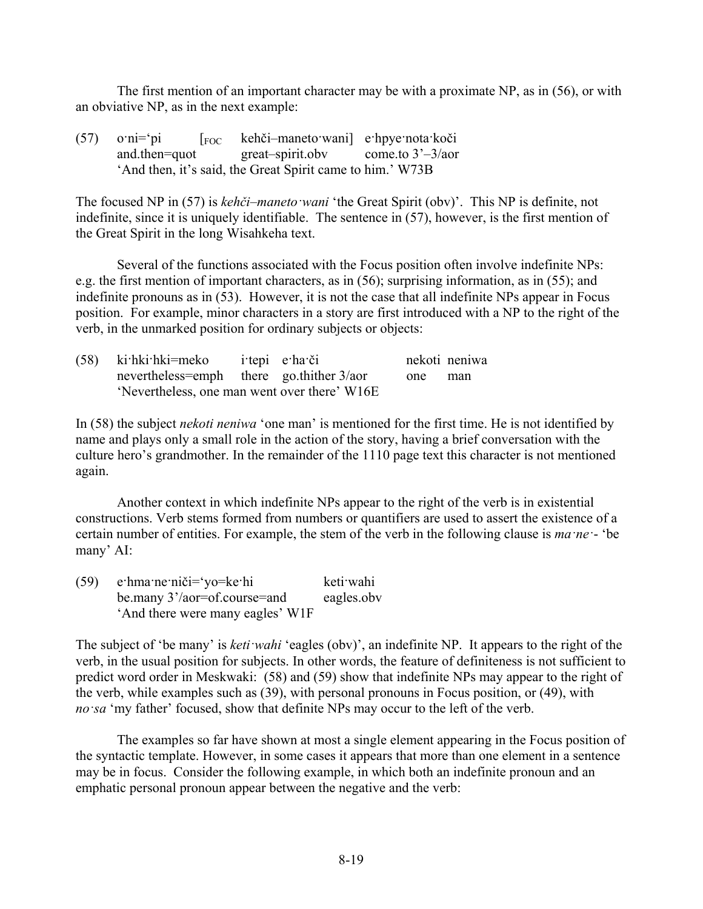The first mention of an important character may be with a proximate NP, as in (56), or with an obviative NP, as in the next example:

(57) o·ni='pi [FOC kehči–maneto·wani] e·hpye·nota·koči and.then=quot great–spirit.obv come.to 3'–3/aor 'And then, it's said, the Great Spirit came to him.' W73B

The focused NP in (57) is *kehči–maneto·wani* 'the Great Spirit (obv)'. This NP is definite, not indefinite, since it is uniquely identifiable. The sentence in (57), however, is the first mention of the Great Spirit in the long Wisahkeha text.

Several of the functions associated with the Focus position often involve indefinite NPs: e.g. the first mention of important characters, as in (56); surprising information, as in (55); and indefinite pronouns as in (53). However, it is not the case that all indefinite NPs appear in Focus position. For example, minor characters in a story are first introduced with a NP to the right of the verb, in the unmarked position for ordinary subjects or objects:

| (58) ki hki hki = meko i tepi e ha či        |  |  |         | nekoti neniwa |
|----------------------------------------------|--|--|---------|---------------|
| nevertheless=emph there go.thither $3/a$ or  |  |  | one man |               |
| 'Nevertheless, one man went over there' W16E |  |  |         |               |

In (58) the subject *nekoti neniwa* 'one man' is mentioned for the first time. He is not identified by name and plays only a small role in the action of the story, having a brief conversation with the culture hero's grandmother. In the remainder of the 1110 page text this character is not mentioned again.

Another context in which indefinite NPs appear to the right of the verb is in existential constructions. Verb stems formed from numbers or quantifiers are used to assert the existence of a certain number of entities. For example, the stem of the verb in the following clause is *ma·ne·*- 'be many' AI:

(59) e·hma·ne·niči='yo=ke·hi keti·wahi be.many 3'/aor=of.course=and eagles.obv 'And there were many eagles' W1F

The subject of 'be many' is *keti·wahi* 'eagles (obv)', an indefinite NP. It appears to the right of the verb, in the usual position for subjects. In other words, the feature of definiteness is not sufficient to predict word order in Meskwaki: (58) and (59) show that indefinite NPs may appear to the right of the verb, while examples such as (39), with personal pronouns in Focus position, or (49), with *no·sa* 'my father' focused, show that definite NPs may occur to the left of the verb.

The examples so far have shown at most a single element appearing in the Focus position of the syntactic template. However, in some cases it appears that more than one element in a sentence may be in focus. Consider the following example, in which both an indefinite pronoun and an emphatic personal pronoun appear between the negative and the verb: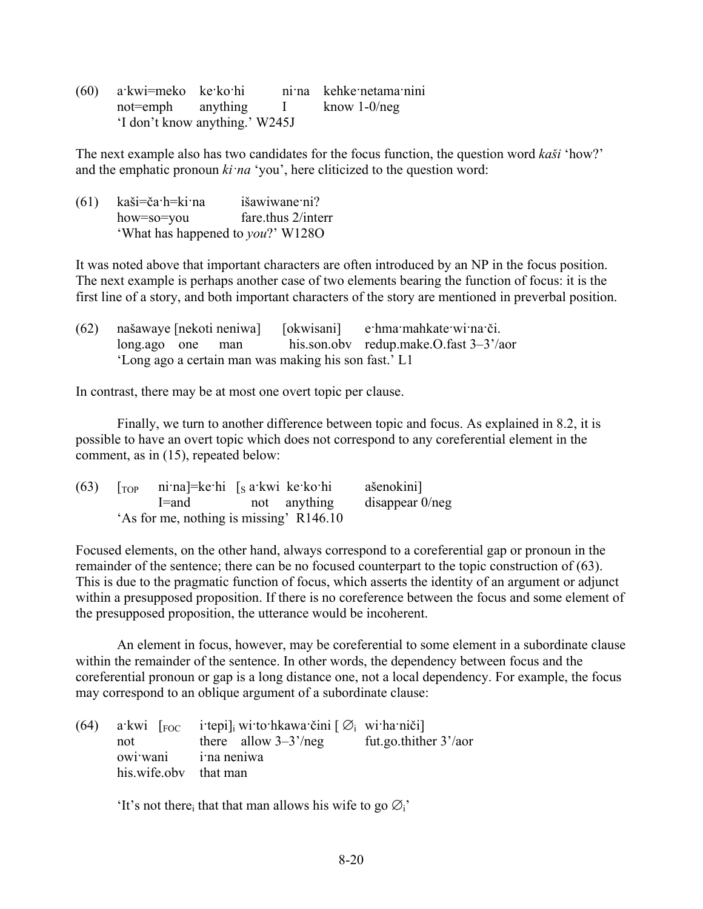| (60) | a·kwi=meko ke·ko·hi            |  | ni na kehke netama nini |
|------|--------------------------------|--|-------------------------|
|      | not=emph anything I            |  | know $1-0/neg$          |
|      | 'I don't know anything.' W245J |  |                         |

The next example also has two candidates for the focus function, the question word *kaši* 'how?' and the emphatic pronoun *ki·na* 'you', here cliticized to the question word:

| (61) | kaši=ča·h=ki·na                           | išawiwane ni?      |
|------|-------------------------------------------|--------------------|
|      | how=so=you                                | fare thus 2/interr |
|      | 'What has happened to <i>you</i> ?' W128O |                    |

It was noted above that important characters are often introduced by an NP in the focus position. The next example is perhaps another case of two elements bearing the function of focus: it is the first line of a story, and both important characters of the story are mentioned in preverbal position.

|  |  |                                                      | (62) našawaye [nekoti neniwa] [okwisani] e·hma·mahkate·wi·na·či. |
|--|--|------------------------------------------------------|------------------------------------------------------------------|
|  |  |                                                      | $\log_{10}$ one man his.son.obv redup.make.O.fast 3-3'/aor       |
|  |  | 'Long ago a certain man was making his son fast.' L1 |                                                                  |

In contrast, there may be at most one overt topic per clause.

Finally, we turn to another difference between topic and focus. As explained in 8.2, it is possible to have an overt topic which does not correspond to any coreferential element in the comment, as in (15), repeated below:

| (63) | $\lceil$ <sub>TOP</sub> ni na]=ke hi $\lceil$ s a kwi ke ko hi |              | ašenokini]         |
|------|----------------------------------------------------------------|--------------|--------------------|
|      | l=and                                                          | not anything | disappear $0$ /neg |
|      | 'As for me, nothing is missing' R146.10                        |              |                    |

Focused elements, on the other hand, always correspond to a coreferential gap or pronoun in the remainder of the sentence; there can be no focused counterpart to the topic construction of (63). This is due to the pragmatic function of focus, which asserts the identity of an argument or adjunct within a presupposed proposition. If there is no coreference between the focus and some element of the presupposed proposition, the utterance would be incoherent.

An element in focus, however, may be coreferential to some element in a subordinate clause within the remainder of the sentence. In other words, the dependency between focus and the coreferential pronoun or gap is a long distance one, not a local dependency. For example, the focus may correspond to an oblique argument of a subordinate clause:

|                       | (64) a kwi $\lceil$ <sub>FOC</sub> i tepi] <sub>i</sub> wi to hkawa čini $\lceil \emptyset \rceil$ wi ha niči] |                          |
|-----------------------|----------------------------------------------------------------------------------------------------------------|--------------------------|
| not                   | there allow $3-3^{\prime}/neg$                                                                                 | fut.go.thither $3'/a$ or |
| owi wani i na neniwa  |                                                                                                                |                          |
| his wife oby that man |                                                                                                                |                          |

'It's not there<sub>i</sub> that that man allows his wife to go  $\varnothing$ <sup>'</sup>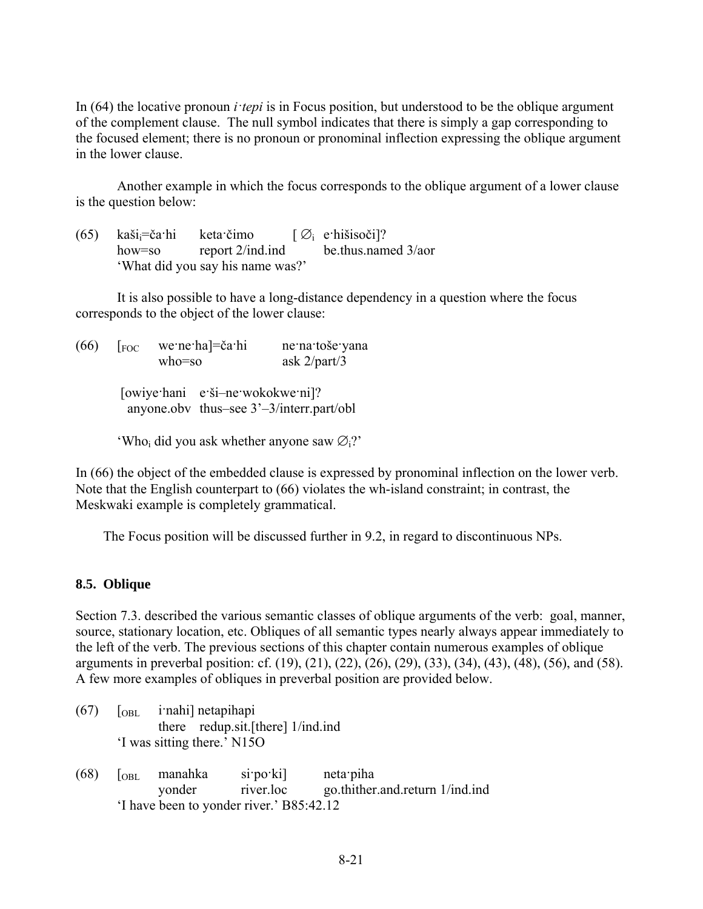In (64) the locative pronoun *i·tepi* is in Focus position, but understood to be the oblique argument of the complement clause. The null symbol indicates that there is simply a gap corresponding to the focused element; there is no pronoun or pronominal inflection expressing the oblique argument in the lower clause.

Another example in which the focus corresponds to the oblique argument of a lower clause is the question below:

(65) kaši $\vec{c}$ a·hi keta·čimo  $[\emptyset]$  e·hišisoči]? how=so report 2/ind.ind be.thus.named 3/aor 'What did you say his name was?'

It is also possible to have a long-distance dependency in a question where the focus corresponds to the object of the lower clause:

 $(66)$   $\lceil$ <sub>FOC</sub> we·ne·ha $\rceil$ =ča·hi ne·na·toše·yana who=so ask 2/part/3 [owiye·hani e·ši–ne·wokokwe·ni]? anyone.obv thus–see 3'–3/interr.part/obl 'Who<sub>i</sub> did you ask whether anyone saw  $\varnothing$ <sub>i</sub>?'

In (66) the object of the embedded clause is expressed by pronominal inflection on the lower verb. Note that the English counterpart to (66) violates the wh-island constraint; in contrast, the Meskwaki example is completely grammatical.

The Focus position will be discussed further in 9.2, in regard to discontinuous NPs.

#### **8.5. Oblique**

Section 7.3. described the various semantic classes of oblique arguments of the verb: goal, manner, source, stationary location, etc. Obliques of all semantic types nearly always appear immediately to the left of the verb. The previous sections of this chapter contain numerous examples of oblique arguments in preverbal position: cf. (19), (21), (22), (26), (29), (33), (34), (43), (48), (56), and (58). A few more examples of obliques in preverbal position are provided below.

- $(67)$   $\lceil_{OBL}$  i·nahi] netapihapi there redup.sit.[there] 1/ind.ind 'I was sitting there.' N15O
- (68) [OBL manahka si·po·ki] neta·piha yonder river.loc go.thither.and.return 1/ind.ind 'I have been to yonder river.' B85:42.12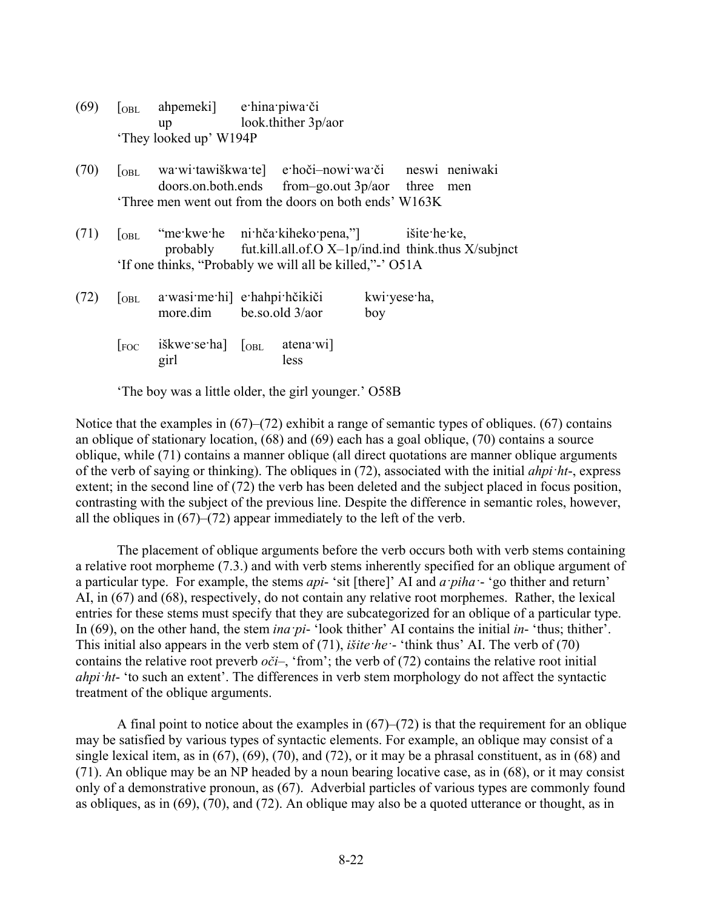| (69) | OBL              | ahpemeki e hina piwa či<br>$up$ and $up$                                                                     | look.thither 3p/aor                                                 |                     |     |
|------|------------------|--------------------------------------------------------------------------------------------------------------|---------------------------------------------------------------------|---------------------|-----|
|      |                  | 'They looked up' W194P                                                                                       |                                                                     |                     |     |
| (70) | <sub>OBL</sub>   | wa wi tawiškwa tel e hoči-nowi wa či neswi neniwaki<br>Three men went out from the doors on both ends' W163K | doors.on.both.ends from-go.out 3p/aor three                         |                     | men |
| (71) | $\log L$         | "me kwe he ni hča kiheko pena," išite he ke,<br>'If one thinks, "Probably we will all be killed," - 'O51A    | probably fut.kill.all.of. $O X$ -1p/ind.ind think.thus $X$ /subjnct |                     |     |
| (72) | OBL              | a wasi me hi e hahpi hčikiči<br>more.dim be.so.old 3/aor                                                     |                                                                     | kwi yese ha,<br>boy |     |
|      | $ _{\text{FOC}}$ | iškwe se ha $\sim$ [OBL<br>girl                                                                              | atena wil<br>less                                                   |                     |     |

'The boy was a little older, the girl younger.' O58B

Notice that the examples in (67)–(72) exhibit a range of semantic types of obliques. (67) contains an oblique of stationary location, (68) and (69) each has a goal oblique, (70) contains a source oblique, while (71) contains a manner oblique (all direct quotations are manner oblique arguments of the verb of saying or thinking). The obliques in (72), associated with the initial *ahpi·ht*-, express extent; in the second line of (72) the verb has been deleted and the subject placed in focus position, contrasting with the subject of the previous line. Despite the difference in semantic roles, however, all the obliques in (67)–(72) appear immediately to the left of the verb.

The placement of oblique arguments before the verb occurs both with verb stems containing a relative root morpheme (7.3.) and with verb stems inherently specified for an oblique argument of a particular type. For example, the stems *api*- 'sit [there]' AI and *a·piha·*- 'go thither and return' AI, in (67) and (68), respectively, do not contain any relative root morphemes. Rather, the lexical entries for these stems must specify that they are subcategorized for an oblique of a particular type. In (69), on the other hand, the stem *ina pi*- 'look thither' AI contains the initial *in*- 'thus; thither'. This initial also appears in the verb stem of (71), *išite·he·*- 'think thus' AI. The verb of (70) contains the relative root preverb  $o\check{c}i$ –, 'from'; the verb of (72) contains the relative root initial *ahpi·ht*- 'to such an extent'. The differences in verb stem morphology do not affect the syntactic treatment of the oblique arguments.

A final point to notice about the examples in  $(67)$ – $(72)$  is that the requirement for an oblique may be satisfied by various types of syntactic elements. For example, an oblique may consist of a single lexical item, as in  $(67)$ ,  $(69)$ ,  $(70)$ , and  $(72)$ , or it may be a phrasal constituent, as in  $(68)$  and (71). An oblique may be an NP headed by a noun bearing locative case, as in (68), or it may consist only of a demonstrative pronoun, as (67). Adverbial particles of various types are commonly found as obliques, as in (69), (70), and (72). An oblique may also be a quoted utterance or thought, as in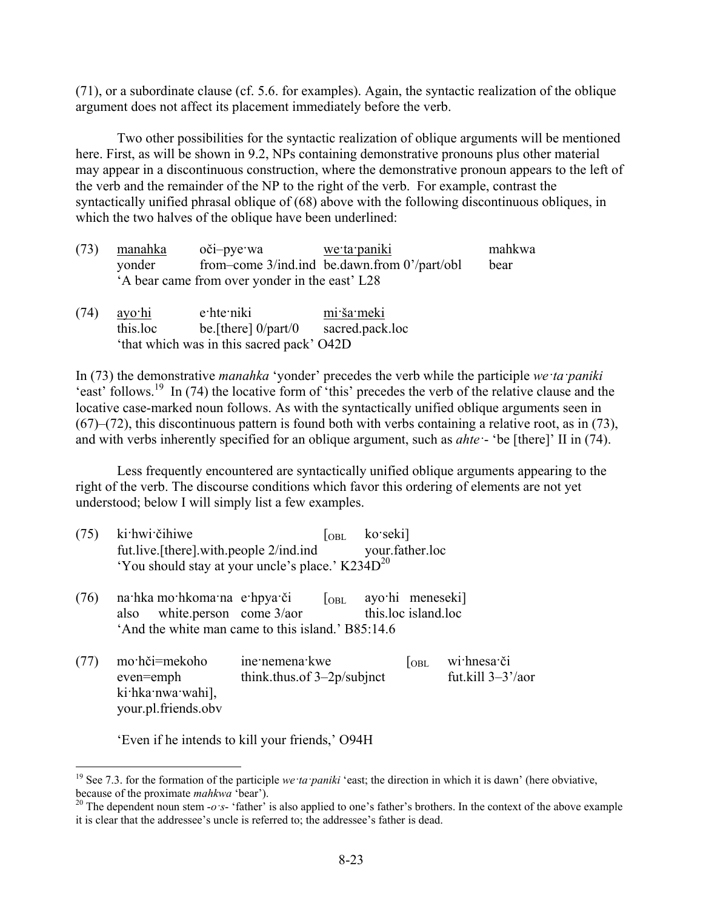(71), or a subordinate clause (cf. 5.6. for examples). Again, the syntactic realization of the oblique argument does not affect its placement immediately before the verb.

Two other possibilities for the syntactic realization of oblique arguments will be mentioned here. First, as will be shown in 9.2, NPs containing demonstrative pronouns plus other material may appear in a discontinuous construction, where the demonstrative pronoun appears to the left of the verb and the remainder of the NP to the right of the verb. For example, contrast the syntactically unified phrasal oblique of (68) above with the following discontinuous obliques, in which the two halves of the oblique have been underlined:

| (73) manahka | oči-pye wa                                     | we ta paniki                                   | mahkwa |
|--------------|------------------------------------------------|------------------------------------------------|--------|
| yonder       |                                                | from–come $3/ind$ ind be dawn from $0'/part/b$ | bear   |
|              | 'A bear came from over yonder in the east' L28 |                                                |        |

| (74) | <u>ayo hi</u>                             | e hte niki             | mi ša meki      |  |  |
|------|-------------------------------------------|------------------------|-----------------|--|--|
|      | this.loc                                  | be [there] $0$ /part/0 | sacred.pack.loc |  |  |
|      | 'that which was in this sacred pack' O42D |                        |                 |  |  |

In (73) the demonstrative *manahka* 'yonder' precedes the verb while the participle *we·ta·paniki* 'east' follows.<sup>19</sup> In (74) the locative form of 'this' precedes the verb of the relative clause and the locative case-marked noun follows. As with the syntactically unified oblique arguments seen in (67)–(72), this discontinuous pattern is found both with verbs containing a relative root, as in (73), and with verbs inherently specified for an oblique argument, such as *ahte·*- 'be [there]' II in (74).

Less frequently encountered are syntactically unified oblique arguments appearing to the right of the verb. The discourse conditions which favor this ordering of elements are not yet understood; below I will simply list a few examples.

| $(75)$ ki hwi čihiwe                                  | $\overline{\text{OBL}}$ | ko·seki]        |
|-------------------------------------------------------|-------------------------|-----------------|
| fut.live.[there].with.people 2/ind.ind                |                         | your.father.loc |
| 'You should stay at your uncle's place.' $K234D^{20}$ |                         |                 |

- (76) na·hka mo·hkoma·na e·hpya·či  $\lceil_{OBL} \rceil$  ayo·hi meneseki] also white.person come 3/aor this.loc island.loc 'And the white man came to this island.' B85:14.6
- (77) mo·hči=mekoho ine·nemena·kwe [OBL wi·hnesa·či even=emph think.thus.of 3-2p/subinct fut.kill 3-3'/aor  $even = \text{emph}$  think.thus.of  $3-2p/\text{subinct}$ ki·hka·nwa·wahi], your.pl.friends.obv

'Even if he intends to kill your friends,' O94H

<u>.</u>

<sup>&</sup>lt;sup>19</sup> See 7.3. for the formation of the participle *we ta paniki* 'east; the direction in which it is dawn' (here obviative,

because of the proximate *mahkwa* 'bear').<br><sup>20</sup> The dependent noun stem -*o* ·*s*- 'father' is also applied to one's father's brothers. In the context of the above example it is clear that the addressee's uncle is referred to; the addressee's father is dead.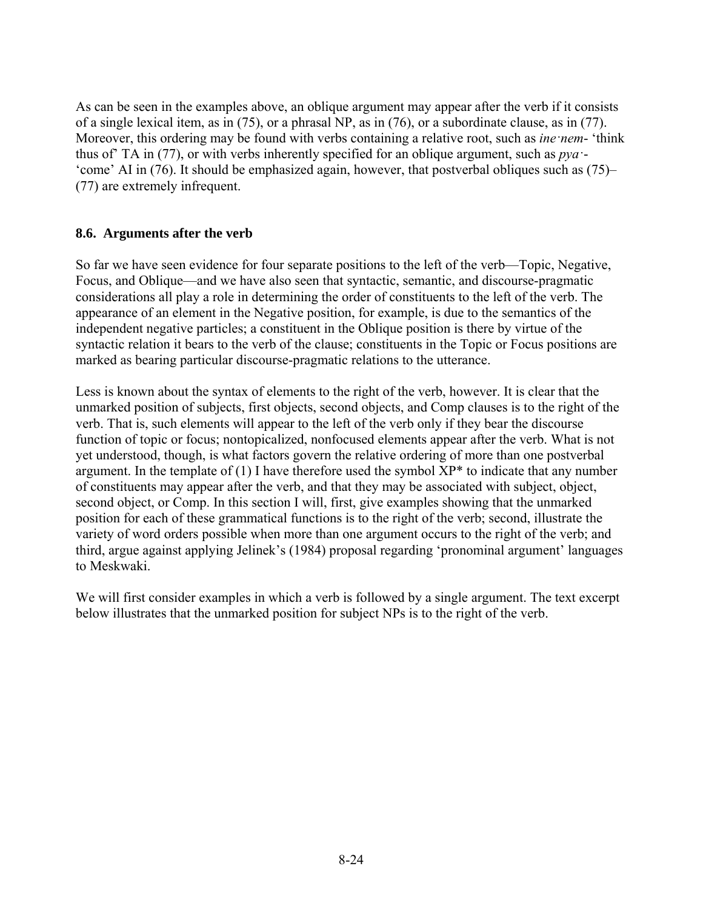As can be seen in the examples above, an oblique argument may appear after the verb if it consists of a single lexical item, as in (75), or a phrasal NP, as in (76), or a subordinate clause, as in (77). Moreover, this ordering may be found with verbs containing a relative root, such as *ine·nem*- 'think thus of' TA in (77), or with verbs inherently specified for an oblique argument, such as *pya·*- 'come' AI in (76). It should be emphasized again, however, that postverbal obliques such as (75)– (77) are extremely infrequent.

#### **8.6. Arguments after the verb**

So far we have seen evidence for four separate positions to the left of the verb—Topic, Negative, Focus, and Oblique—and we have also seen that syntactic, semantic, and discourse-pragmatic considerations all play a role in determining the order of constituents to the left of the verb. The appearance of an element in the Negative position, for example, is due to the semantics of the independent negative particles; a constituent in the Oblique position is there by virtue of the syntactic relation it bears to the verb of the clause; constituents in the Topic or Focus positions are marked as bearing particular discourse-pragmatic relations to the utterance.

Less is known about the syntax of elements to the right of the verb, however. It is clear that the unmarked position of subjects, first objects, second objects, and Comp clauses is to the right of the verb. That is, such elements will appear to the left of the verb only if they bear the discourse function of topic or focus; nontopicalized, nonfocused elements appear after the verb. What is not yet understood, though, is what factors govern the relative ordering of more than one postverbal argument. In the template of (1) I have therefore used the symbol  $XP^*$  to indicate that any number of constituents may appear after the verb, and that they may be associated with subject, object, second object, or Comp. In this section I will, first, give examples showing that the unmarked position for each of these grammatical functions is to the right of the verb; second, illustrate the variety of word orders possible when more than one argument occurs to the right of the verb; and third, argue against applying Jelinek's (1984) proposal regarding 'pronominal argument' languages to Meskwaki.

We will first consider examples in which a verb is followed by a single argument. The text excerpt below illustrates that the unmarked position for subject NPs is to the right of the verb.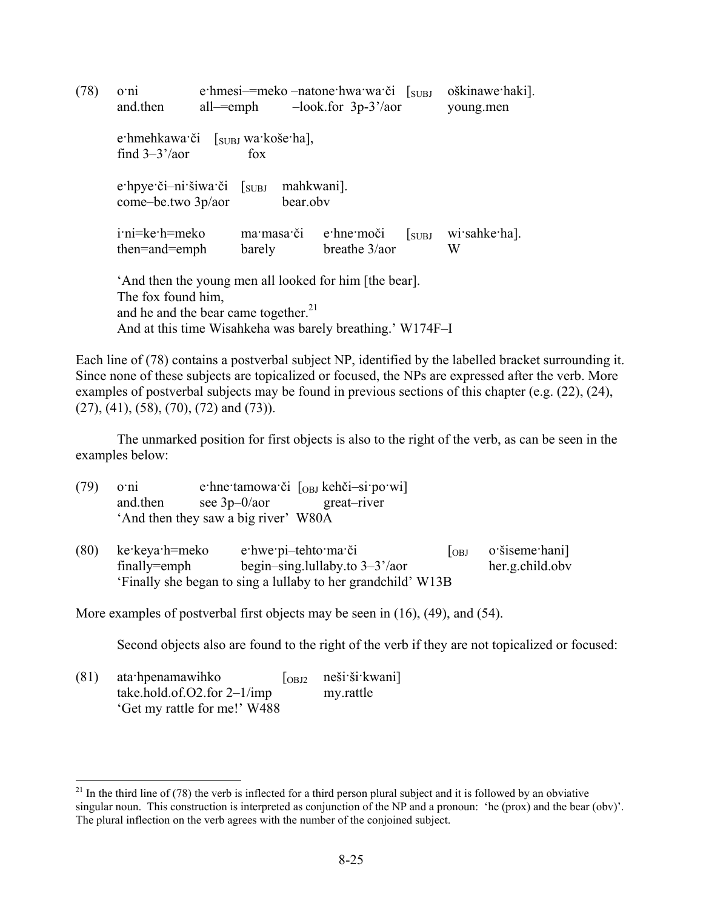(78) o·ni e·hmesi–=meko –natone·hwa·wa·či [SUBJ oškinawe·haki]. and.then all—=emph –look.for 3p-3'/aor young.men e·hmehkawa·či [SUBJ wa·koše·ha], find  $3-3'/a$ or fox e·hpye·či–ni·šiwa·či [<sub>SUBJ</sub> mahkwani]. come–be.two 3p/aor bear.obv i·ni=ke·h=meko ma·masa·či e·hne·moči [SUBJ wi·sahke·ha]. then=and=emph barely breathe 3/aor W 'And then the young men all looked for him [the bear]. The fox found him, and he and the bear came together.<sup>21</sup> And at this time Wisahkeha was barely breathing.' W174F–I

Each line of (78) contains a postverbal subject NP, identified by the labelled bracket surrounding it. Since none of these subjects are topicalized or focused, the NPs are expressed after the verb. More examples of postverbal subjects may be found in previous sections of this chapter (e.g. (22), (24), (27), (41), (58), (70), (72) and (73)).

The unmarked position for first objects is also to the right of the verb, as can be seen in the examples below:

(79) o·ni e·hne·tamowa·či [OBJ kehči–si·po·wi] and.then see 3p–0/aor great–river 'And then they saw a big river' W80A

(80) ke·keya·h=meko e·hwe·pi–tehto·ma·či  $\begin{bmatrix} \text{ORI} & \text{O}'\text{Si} \text{seme} \\ \text{ORI} & \text{O}'\text{Si} \text{seme} \\ \end{bmatrix}$ finally=emph begin–sing.lullaby.to  $3-3^2/$ aor her.g.child.obv 'Finally she began to sing a lullaby to her grandchild' W13B

More examples of postverbal first objects may be seen in (16), (49), and (54).

Second objects also are found to the right of the verb if they are not topicalized or focused:

 $(81)$  ata·hpenamawihko  $\lceil_{\text{ORD}}$  neši·ši·kwani] take.hold.of.O2.for 2–1/imp my.rattle 'Get my rattle for me!' W488

1

 $21$  In the third line of (78) the verb is inflected for a third person plural subject and it is followed by an obviative singular noun. This construction is interpreted as conjunction of the NP and a pronoun: 'he (prox) and the bear (obv)'. The plural inflection on the verb agrees with the number of the conjoined subject.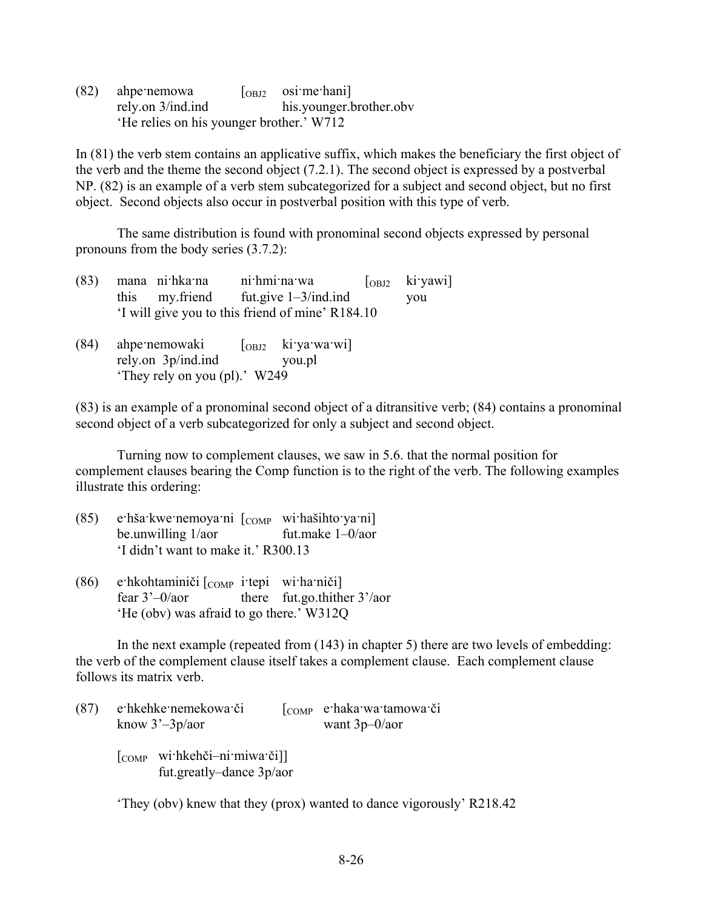$(82)$  ahpernemowa  $\lceil \text{OBJ2} \rceil$  osirmerhani rely.on 3/ind.ind his.younger.brother.obv 'He relies on his younger brother.' W712

In (81) the verb stem contains an applicative suffix, which makes the beneficiary the first object of the verb and the theme the second object (7.2.1). The second object is expressed by a postverbal NP. (82) is an example of a verb stem subcategorized for a subject and second object, but no first object. Second objects also occur in postverbal position with this type of verb.

The same distribution is found with pronominal second objects expressed by personal pronouns from the body series (3.7.2):

|  | (83) mana nihkama nihmimawa                      | $\begin{bmatrix}$ <sub>OBJ2</sub> ki yawi |
|--|--------------------------------------------------|-------------------------------------------|
|  | this my friend fut give $1-3/ind$ ind            | vou                                       |
|  | 'I will give you to this friend of mine' R184.10 |                                           |

 $(84)$  ahpernemowaki  $\lceil_{\text{OBD}}$  kirvarwarwi] rely.on 3p/ind.ind you.pl 'They rely on you (pl).' W249

(83) is an example of a pronominal second object of a ditransitive verb; (84) contains a pronominal second object of a verb subcategorized for only a subject and second object.

Turning now to complement clauses, we saw in 5.6. that the normal position for complement clauses bearing the Comp function is to the right of the verb. The following examples illustrate this ordering:

- (85) e·hša·kwe·nemoya·ni  $\lceil$ <sub>COMP</sub> wi·hašihto·ya·ni] be.unwilling 1/aor fut.make 1–0/aor 'I didn't want to make it.' R300.13
- (86) e·hkohtaminiči  $\begin{bmatrix} \text{COMP} & \text{item} \end{bmatrix}$  wi·ha·niči fear 3'–0/aor there fut.go.thither 3'/aor 'He (obv) was afraid to go there.' W312Q

In the next example (repeated from (143) in chapter 5) there are two levels of embedding: the verb of the complement clause itself takes a complement clause. Each complement clause follows its matrix verb.

| (87) | e hkehke nemekowa či<br>know $3^3 - 3p/a$ or                                                                                                            | [COMP e haka wa tamowa či<br>want $3p-0/a$ or |
|------|---------------------------------------------------------------------------------------------------------------------------------------------------------|-----------------------------------------------|
|      | $\begin{bmatrix} \text{COMP} \\ \text{with} \\ \text{kehči}-\text{ni} \\ \text{minw} \\ \text{a} \\ \text{c} \end{bmatrix}$<br>fut greatly-dance 3p/aor |                                               |

'They (obv) knew that they (prox) wanted to dance vigorously' R218.42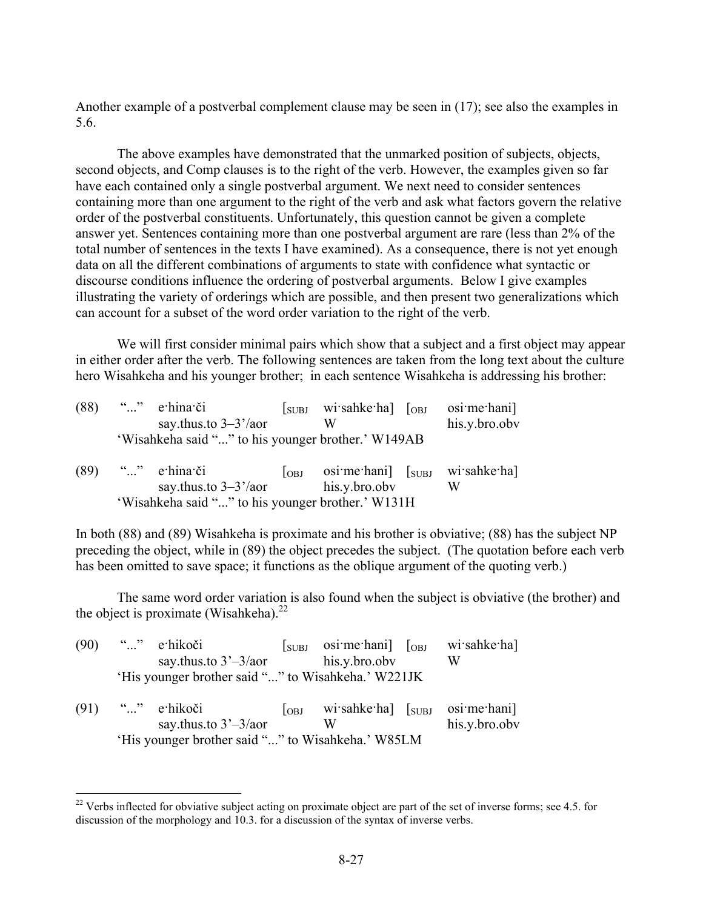Another example of a postverbal complement clause may be seen in (17); see also the examples in 5.6.

The above examples have demonstrated that the unmarked position of subjects, objects, second objects, and Comp clauses is to the right of the verb. However, the examples given so far have each contained only a single postverbal argument. We next need to consider sentences containing more than one argument to the right of the verb and ask what factors govern the relative order of the postverbal constituents. Unfortunately, this question cannot be given a complete answer yet. Sentences containing more than one postverbal argument are rare (less than 2% of the total number of sentences in the texts I have examined). As a consequence, there is not yet enough data on all the different combinations of arguments to state with confidence what syntactic or discourse conditions influence the ordering of postverbal arguments. Below I give examples illustrating the variety of orderings which are possible, and then present two generalizations which can account for a subset of the word order variation to the right of the verb.

We will first consider minimal pairs which show that a subject and a first object may appear in either order after the verb. The following sentences are taken from the long text about the culture hero Wisahkeha and his younger brother; in each sentence Wisahkeha is addressing his brother:

| (88) | "" e hina či                                              | $\sqrt{\text{SUBJ}}$ | wisahke ha] [ <sub>OBJ</sub>                                    | osi me hani]     |
|------|-----------------------------------------------------------|----------------------|-----------------------------------------------------------------|------------------|
|      | say thus to $3-3^{\prime}/a$ or                           |                      | W                                                               | his.y.bro.obv    |
|      | 'Wisahkeha said "" to his younger brother.' W149AB        |                      |                                                                 |                  |
| (89) | " $\ldots$ " e hina či<br>say thus to $3-3^{\prime}/a$ or | $\log$               | $\sigma$ osi·me·hani] $\sigma$ <sub>SUBJ</sub><br>his.y.bro.obv | wi sahke ha<br>W |
|      | 'Wisahkeha said "" to his younger brother.' W131H         |                      |                                                                 |                  |

In both (88) and (89) Wisahkeha is proximate and his brother is obviative; (88) has the subject NP preceding the object, while in (89) the object precedes the subject. (The quotation before each verb has been omitted to save space; it functions as the oblique argument of the quoting verb.)

The same word order variation is also found when the subject is obviative (the brother) and the object is proximate (Wisahkeha). $^{22}$ 

| (90) | "" e·hikoči                                        |        | $\begin{bmatrix}$ suppose osime hani $\begin{bmatrix}$ $\end{bmatrix}$ | wi sahke ha]                 |
|------|----------------------------------------------------|--------|------------------------------------------------------------------------|------------------------------|
|      | say thus to $3'-3$ /aor                            |        | his.y.bro.obv                                                          | W                            |
|      | 'His younger brother said "" to Wisahkeha.' W221JK |        |                                                                        |                              |
| (91) | "" e hikoči<br>say thus to $3'-3/a$ or             | $\log$ | wisahke ha $\lceil \frac{\text{SUBJ}}{\text{SUBJ}} \rceil$<br>W        | osi me hani<br>his.y.bro.obv |
|      | 'His younger brother said "" to Wisahkeha.' W85LM  |        |                                                                        |                              |

1

 $22$  Verbs inflected for obviative subject acting on proximate object are part of the set of inverse forms; see 4.5. for discussion of the morphology and 10.3. for a discussion of the syntax of inverse verbs.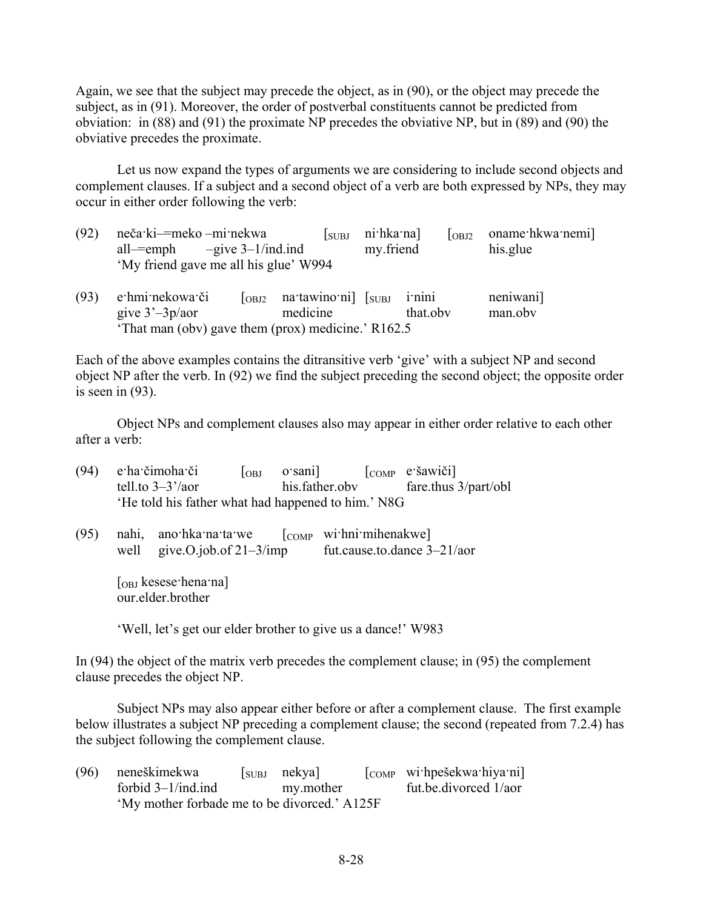Again, we see that the subject may precede the object, as in (90), or the object may precede the subject, as in (91). Moreover, the order of postverbal constituents cannot be predicted from obviation: in (88) and (91) the proximate NP precedes the obviative NP, but in (89) and (90) the obviative precedes the proximate.

Let us now expand the types of arguments we are considering to include second objects and complement clauses. If a subject and a second object of a verb are both expressed by NPs, they may occur in either order following the verb:

| (92) | neča ki—meko –mi nekwa                       | <b>SUBL</b>                                                      | ni hka na] |  | $\lceil_{\text{OBJ2}}$ oname hkwa nemi |  |
|------|----------------------------------------------|------------------------------------------------------------------|------------|--|----------------------------------------|--|
|      | all— $=$ emph $-$ give 3–1/ind.ind           |                                                                  | my friend  |  | his.glue                               |  |
|      | 'My friend gave me all his glue' W994        |                                                                  |            |  |                                        |  |
|      | $(93)$ e <sup>-</sup> hmi-nekowa: $\delta$ i | $\lceil_{\text{open}}$ natawinomil $\lceil_{\text{error}}$ inini |            |  | neniwanil                              |  |

| (93) e hmi nekowa či                              | $\begin{bmatrix} \text{OBJ2} & \text{na} \cdot \text{tawino} \cdot \text{ni} \end{bmatrix}$ $\begin{bmatrix} \text{SUBJ} & \text{i} \cdot \text{ni} \cdot \end{bmatrix}$ |          | neniwani] |
|---------------------------------------------------|--------------------------------------------------------------------------------------------------------------------------------------------------------------------------|----------|-----------|
| give $3'-3p/a$                                    | medicine                                                                                                                                                                 | that oby | man.obv   |
| That man (obv) gave them (prox) medicine.' R162.5 |                                                                                                                                                                          |          |           |

Each of the above examples contains the ditransitive verb 'give' with a subject NP and second object NP after the verb. In (92) we find the subject preceding the second object; the opposite order is seen in (93).

Object NPs and complement clauses also may appear in either order relative to each other after a verb:

| (94) |                                        | e ha čimoha či                                               | <b>OBJ</b> | o sani]           |                   | $\begin{bmatrix} \text{COMP} & e \cdot \text{šawiči} \end{bmatrix}$ |  |
|------|----------------------------------------|--------------------------------------------------------------|------------|-------------------|-------------------|---------------------------------------------------------------------|--|
|      |                                        | tell.to $3-3^{\prime}/a$ or                                  |            | his.father.obv    |                   | fare.thus 3/part/obl                                                |  |
|      |                                        | 'He told his father what had happened to him.' N8G           |            |                   |                   |                                                                     |  |
|      |                                        |                                                              |            |                   |                   |                                                                     |  |
| (95) |                                        | nahi, ano hka na ta we                                       |            | $\overline{COMP}$ | wi:hni:mihenakwe] |                                                                     |  |
|      | well                                   | give.O.job.of $21-3/imp$                                     |            |                   |                   | fut.cause.to.dance 3-21/aor                                         |  |
|      | $\lceil$ <sub>OBJ</sub> kesese hena na |                                                              |            |                   |                   |                                                                     |  |
|      | our.elder.brother                      |                                                              |            |                   |                   |                                                                     |  |
|      |                                        |                                                              |            |                   |                   |                                                                     |  |
|      |                                        | 'Well, let's get our elder brother to give us a dance!' W983 |            |                   |                   |                                                                     |  |

In (94) the object of the matrix verb precedes the complement clause; in (95) the complement clause precedes the object NP.

Subject NPs may also appear either before or after a complement clause. The first example below illustrates a subject NP preceding a complement clause; the second (repeated from 7.2.4) has the subject following the complement clause.

| (96) neneškimekwa                            | $[s_{UBJ}$ nekya | $\begin{bmatrix} \text{COMP} \\ \text{with} \\ \text{pešekwa-hiya'ni} \end{bmatrix}$ |
|----------------------------------------------|------------------|--------------------------------------------------------------------------------------|
| forbid $3-1/ind$ .ind                        | my.mother        | fut.be.divorced 1/aor                                                                |
| 'My mother forbade me to be divorced.' A125F |                  |                                                                                      |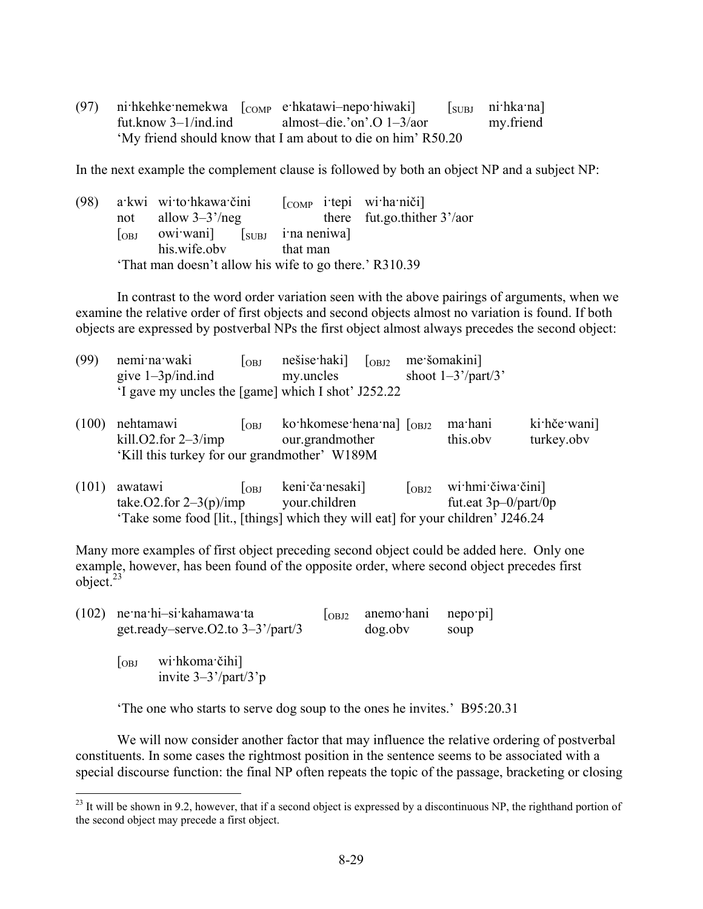(97) ni·hkehke·nemekwa [COMP e·hkatawi-nepo·hiwaki] [SUBJ ni·hka·na] fut.know 3–1/ind.ind almost–die.'on'.O 1–3/aor my.friend 'My friend should know that I am about to die on him' R50.20

In the next example the complement clause is followed by both an object NP and a subject NP:

| (98) |            | a kwi wi to hkawa čini                                 | $\begin{bmatrix} \text{COMP} & \text{iterpi} & \text{winaniči} \end{bmatrix}$ |                                    |
|------|------------|--------------------------------------------------------|-------------------------------------------------------------------------------|------------------------------------|
|      | not        | allow $3-3^{\prime}/neg$                               |                                                                               | there fut.go.thither $3'/\text{a}$ |
|      | $\log_{1}$ | owiwani [SUBJ i'na neniwa]                             |                                                                               |                                    |
|      |            | his.wife.obv                                           | that man                                                                      |                                    |
|      |            | 'That man doesn't allow his wife to go there.' R310.39 |                                                                               |                                    |

In contrast to the word order variation seen with the above pairings of arguments, when we examine the relative order of first objects and second objects almost no variation is found. If both objects are expressed by postverbal NPs the first object almost always precedes the second object:

| (99) nemi na waki                                  | $\log$ |           | nešise haki $\begin{bmatrix} \text{OBJ2} \\ \text{OBJ2} \end{bmatrix}$ me šomakini |
|----------------------------------------------------|--------|-----------|------------------------------------------------------------------------------------|
| give $1-3p/ind$ .ind                               |        | my uncles | shoot $1-3'/part/3'$                                                               |
| 'I gave my uncles the [game] which I shot' J252.22 |        |           |                                                                                    |

| $(100)$ nehtamawi                            | $\log$ | ko·hkomese·hena·na] $\lceil_{\text{OBJ2}}$ ma·hani |          | ki hče wani |
|----------------------------------------------|--------|----------------------------------------------------|----------|-------------|
| kill. $O2$ .for $2-3/imp$                    |        | our.grandmother                                    | this.oby | turkey.obv  |
| 'Kill this turkey for our grandmother' W189M |        |                                                    |          |             |

| $(101)$ awatawi                         | $\log$ | keni ča nesaki] |  | $\begin{bmatrix} \text{OBJ2} \\ \text{OBJ3} \end{bmatrix}$ withmit čiwar čini   |
|-----------------------------------------|--------|-----------------|--|---------------------------------------------------------------------------------|
| take. O2.for $2-3(p)/imp$ vour children |        |                 |  | fut.eat $3p-0$ /part/0p                                                         |
|                                         |        |                 |  | 'Take some food [lit., [things] which they will eat] for your children' J246.24 |

Many more examples of first object preceding second object could be added here. Only one example, however, has been found of the opposite order, where second object precedes first object. $^{23}$ 

|                                                                | $(102)$ ne·na·hi-si·kahamawa·ta<br>get.ready-serve. $O2$ .to $3-3^2$ /part/3 | $\overline{OBJ2}$ | anemo hani nepo pi<br>dog.obv | soup |
|----------------------------------------------------------------|------------------------------------------------------------------------------|-------------------|-------------------------------|------|
| wi hkoma čihi<br>$\log$<br>invite $3-3'/part/3$ <sup>t</sup> p |                                                                              |                   |                               |      |

1

'The one who starts to serve dog soup to the ones he invites.' B95:20.31

We will now consider another factor that may influence the relative ordering of postverbal constituents. In some cases the rightmost position in the sentence seems to be associated with a special discourse function: the final NP often repeats the topic of the passage, bracketing or closing

 $^{23}$  It will be shown in 9.2, however, that if a second object is expressed by a discontinuous NP, the righthand portion of the second object may precede a first object.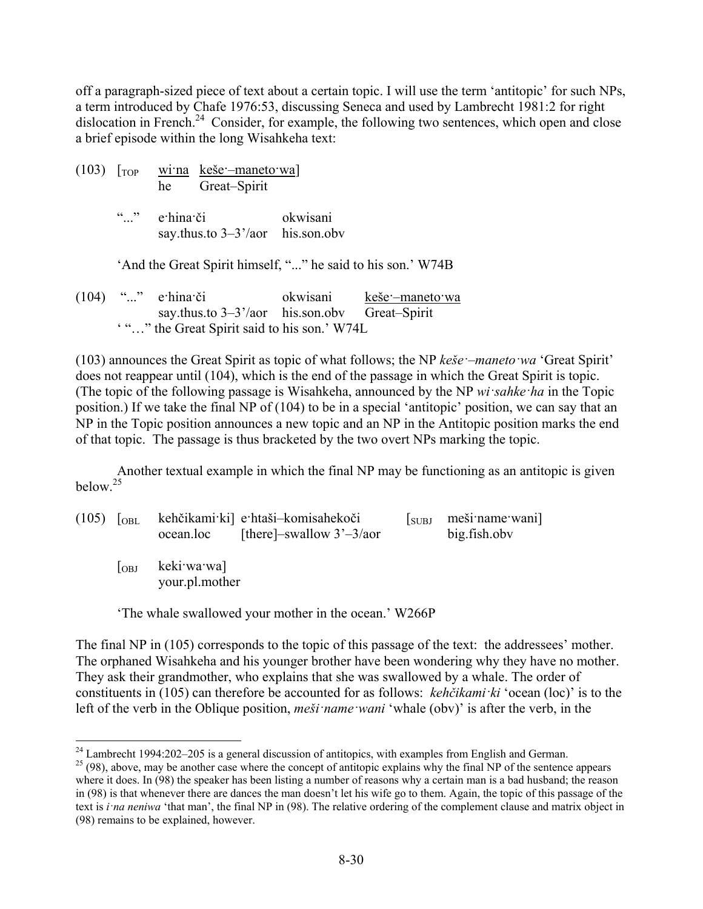off a paragraph-sized piece of text about a certain topic. I will use the term 'antitopic' for such NPs, a term introduced by Chafe 1976:53, discussing Seneca and used by Lambrecht 1981:2 for right dislocation in French.<sup>24</sup> Consider, for example, the following two sentences, which open and close a brief episode within the long Wisahkeha text:

(103)  $\lceil \text{top} \rceil$  wina keše - maneto wa he Great–Spirit

> "..." e·hina·či okwisani say.thus.to 3–3'/aor his.son.obv

'And the Great Spirit himself, "..." he said to his son.' W74B

(104) "..." e·hina·či okwisani keše·–maneto·wa say.thus.to 3–3'/aor his.son.obv Great–Spirit ' "…" the Great Spirit said to his son.' W74L

(103) announces the Great Spirit as topic of what follows; the NP *keše·–maneto·wa* 'Great Spirit' does not reappear until (104), which is the end of the passage in which the Great Spirit is topic. (The topic of the following passage is Wisahkeha, announced by the NP *wi·sahke·ha* in the Topic position.) If we take the final NP of (104) to be in a special 'antitopic' position, we can say that an NP in the Topic position announces a new topic and an NP in the Antitopic position marks the end of that topic. The passage is thus bracketed by the two overt NPs marking the topic.

Another textual example in which the final NP may be functioning as an antitopic is given below.<sup>25</sup>

| $(105)$ $\sim$ [OBL] |        | kehčikami ki e htaši-komisahekoči<br>ocean.loc | [there]-swallow $3'-3/a$ or | <b>SUBJ</b> | meši name wani<br>big.fish.obv |
|----------------------|--------|------------------------------------------------|-----------------------------|-------------|--------------------------------|
|                      | $\log$ | keki wa wa]<br>your.pl.mother                  |                             |             |                                |

'The whale swallowed your mother in the ocean.' W266P

The final NP in (105) corresponds to the topic of this passage of the text: the addressees' mother. The orphaned Wisahkeha and his younger brother have been wondering why they have no mother. They ask their grandmother, who explains that she was swallowed by a whale. The order of constituents in (105) can therefore be accounted for as follows: *kehčikami·ki* 'ocean (loc)' is to the left of the verb in the Oblique position, *meši·name·wani* 'whale (obv)' is after the verb, in the

 $^{24}$  Lambrecht 1994:202–205 is a general discussion of antitopics, with examples from English and German.

<sup>&</sup>lt;sup>25</sup> (98), above, may be another case where the concept of antitopic explains why the final NP of the sentence appears where it does. In (98) the speaker has been listing a number of reasons why a certain man is a bad husband; the reason in (98) is that whenever there are dances the man doesn't let his wife go to them. Again, the topic of this passage of the text is *i·na neniwa* 'that man', the final NP in (98). The relative ordering of the complement clause and matrix object in (98) remains to be explained, however.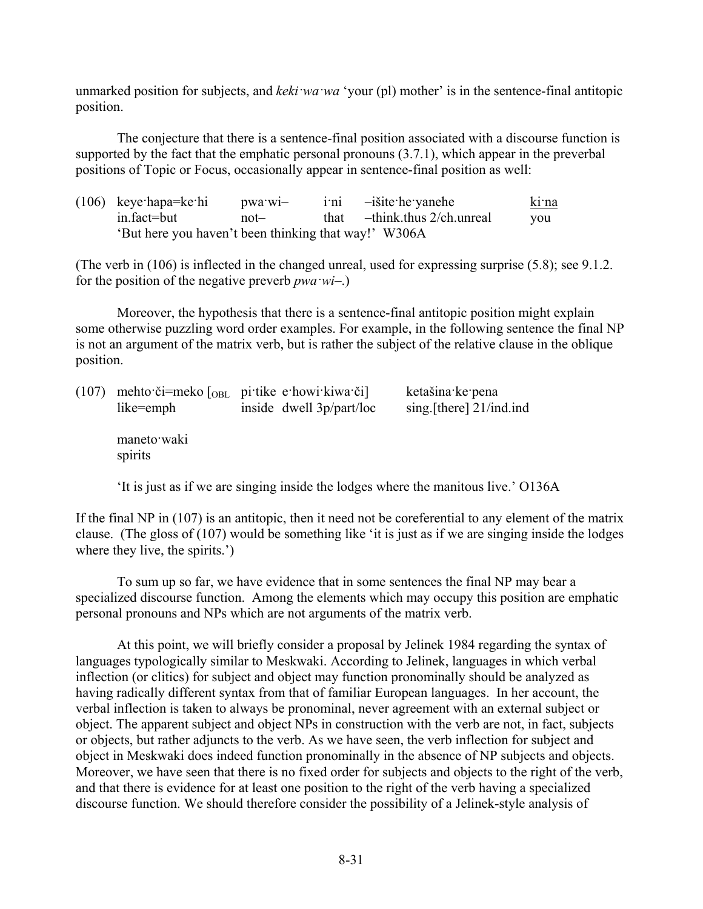unmarked position for subjects, and *keki·wa·wa* 'your (pl) mother' is in the sentence-final antitopic position.

The conjecture that there is a sentence-final position associated with a discourse function is supported by the fact that the emphatic personal pronouns (3.7.1), which appear in the preverbal positions of Topic or Focus, occasionally appear in sentence-final position as well:

|                                                      | $(106)$ keye hapa=ke hi | pwa wi- |  | $i$ in $-i$ site he vane he        | ki na |
|------------------------------------------------------|-------------------------|---------|--|------------------------------------|-------|
|                                                      | in.fact=but             | not—    |  | that $-think.$ thus $2/ch.$ unreal | you   |
| 'But here you haven't been thinking that way!' W306A |                         |         |  |                                    |       |

(The verb in (106) is inflected in the changed unreal, used for expressing surprise (5.8); see 9.1.2. for the position of the negative preverb *pwa·wi*–.)

Moreover, the hypothesis that there is a sentence-final antitopic position might explain some otherwise puzzling word order examples. For example, in the following sentence the final NP is not an argument of the matrix verb, but is rather the subject of the relative clause in the oblique position.

| like=emph              | $(107)$ mehto či=meko $\lceil_{OBL} \rceil$ pi tike e howi kiwa či<br>inside dwell 3p/part/loc |  | ketašina ke pena<br>sing.[there] 21/ind.ind |  |  |
|------------------------|------------------------------------------------------------------------------------------------|--|---------------------------------------------|--|--|
| maneto waki<br>spirits |                                                                                                |  |                                             |  |  |

'It is just as if we are singing inside the lodges where the manitous live.' O136A

If the final NP in (107) is an antitopic, then it need not be coreferential to any element of the matrix clause. (The gloss of (107) would be something like 'it is just as if we are singing inside the lodges where they live, the spirits.')

To sum up so far, we have evidence that in some sentences the final NP may bear a specialized discourse function. Among the elements which may occupy this position are emphatic personal pronouns and NPs which are not arguments of the matrix verb.

At this point, we will briefly consider a proposal by Jelinek 1984 regarding the syntax of languages typologically similar to Meskwaki. According to Jelinek, languages in which verbal inflection (or clitics) for subject and object may function pronominally should be analyzed as having radically different syntax from that of familiar European languages. In her account, the verbal inflection is taken to always be pronominal, never agreement with an external subject or object. The apparent subject and object NPs in construction with the verb are not, in fact, subjects or objects, but rather adjuncts to the verb. As we have seen, the verb inflection for subject and object in Meskwaki does indeed function pronominally in the absence of NP subjects and objects. Moreover, we have seen that there is no fixed order for subjects and objects to the right of the verb, and that there is evidence for at least one position to the right of the verb having a specialized discourse function. We should therefore consider the possibility of a Jelinek-style analysis of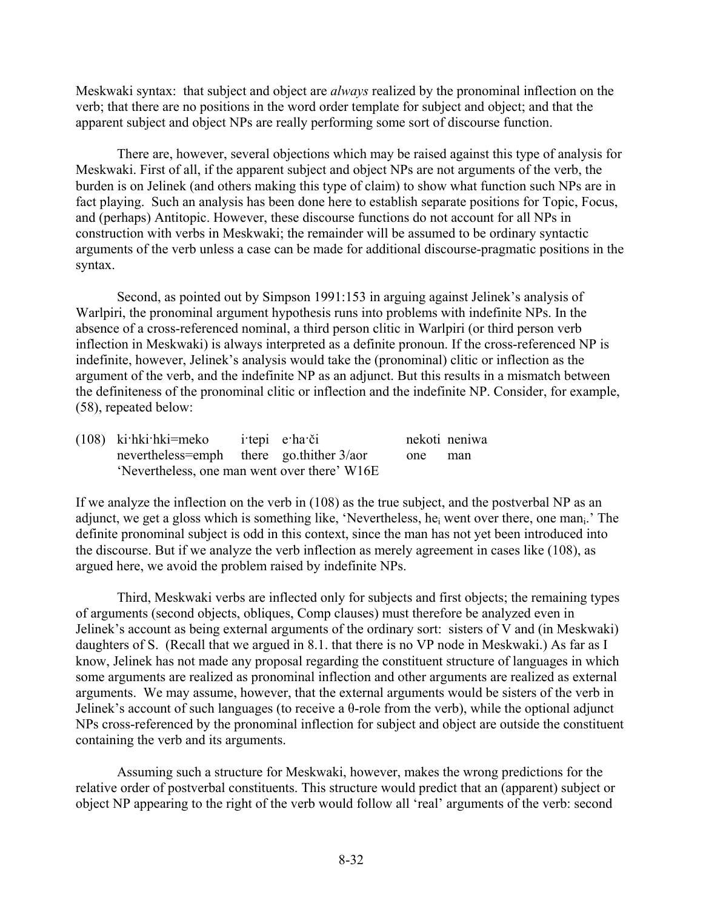Meskwaki syntax: that subject and object are *always* realized by the pronominal inflection on the verb; that there are no positions in the word order template for subject and object; and that the apparent subject and object NPs are really performing some sort of discourse function.

There are, however, several objections which may be raised against this type of analysis for Meskwaki. First of all, if the apparent subject and object NPs are not arguments of the verb, the burden is on Jelinek (and others making this type of claim) to show what function such NPs are in fact playing. Such an analysis has been done here to establish separate positions for Topic, Focus, and (perhaps) Antitopic. However, these discourse functions do not account for all NPs in construction with verbs in Meskwaki; the remainder will be assumed to be ordinary syntactic arguments of the verb unless a case can be made for additional discourse-pragmatic positions in the syntax.

Second, as pointed out by Simpson 1991:153 in arguing against Jelinek's analysis of Warlpiri, the pronominal argument hypothesis runs into problems with indefinite NPs. In the absence of a cross-referenced nominal, a third person clitic in Warlpiri (or third person verb inflection in Meskwaki) is always interpreted as a definite pronoun. If the cross-referenced NP is indefinite, however, Jelinek's analysis would take the (pronominal) clitic or inflection as the argument of the verb, and the indefinite NP as an adjunct. But this results in a mismatch between the definiteness of the pronominal clitic or inflection and the indefinite NP. Consider, for example, (58), repeated below:

| $(108)$ ki hki hki = meko                    |  | itepi e ha či |     | nekoti neniwa |
|----------------------------------------------|--|---------------|-----|---------------|
| nevertheless=emph there go.thither $3/a$ or  |  |               | one | man           |
| 'Nevertheless, one man went over there' W16E |  |               |     |               |

If we analyze the inflection on the verb in (108) as the true subject, and the postverbal NP as an adjunct, we get a gloss which is something like, 'Nevertheless, hei went over there, one mani.' The definite pronominal subject is odd in this context, since the man has not yet been introduced into the discourse. But if we analyze the verb inflection as merely agreement in cases like (108), as argued here, we avoid the problem raised by indefinite NPs.

Third, Meskwaki verbs are inflected only for subjects and first objects; the remaining types of arguments (second objects, obliques, Comp clauses) must therefore be analyzed even in Jelinek's account as being external arguments of the ordinary sort: sisters of V and (in Meskwaki) daughters of S. (Recall that we argued in 8.1. that there is no VP node in Meskwaki.) As far as I know, Jelinek has not made any proposal regarding the constituent structure of languages in which some arguments are realized as pronominal inflection and other arguments are realized as external arguments. We may assume, however, that the external arguments would be sisters of the verb in Jelinek's account of such languages (to receive a θ-role from the verb), while the optional adjunct NPs cross-referenced by the pronominal inflection for subject and object are outside the constituent containing the verb and its arguments.

Assuming such a structure for Meskwaki, however, makes the wrong predictions for the relative order of postverbal constituents. This structure would predict that an (apparent) subject or object NP appearing to the right of the verb would follow all 'real' arguments of the verb: second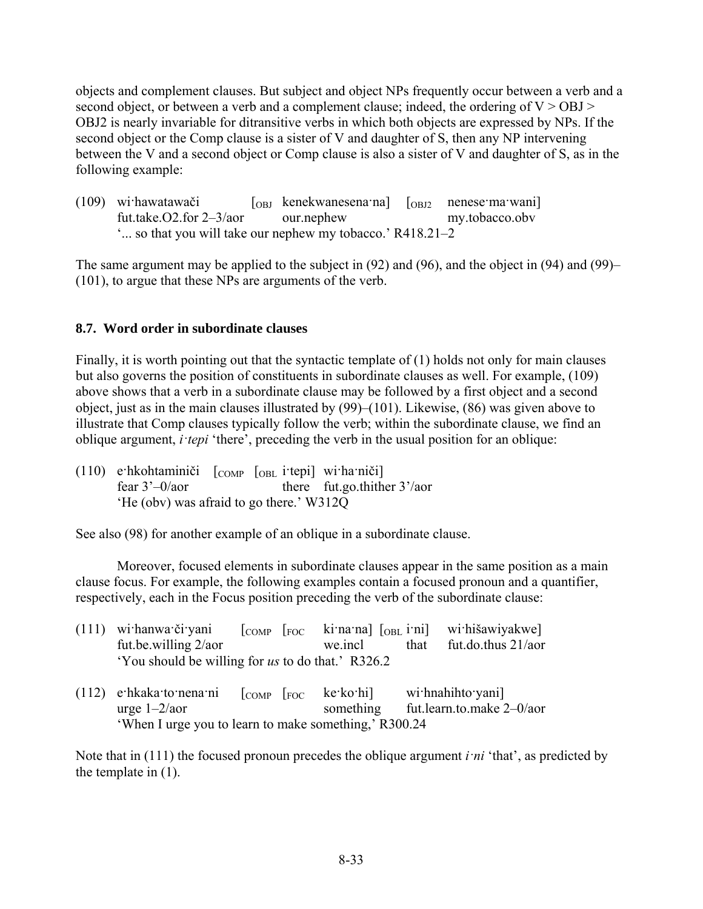objects and complement clauses. But subject and object NPs frequently occur between a verb and a second object, or between a verb and a complement clause; indeed, the ordering of  $V > OBJ$ OBJ2 is nearly invariable for ditransitive verbs in which both objects are expressed by NPs. If the second object or the Comp clause is a sister of V and daughter of S, then any NP intervening between the V and a second object or Comp clause is also a sister of V and daughter of S, as in the following example:

| (109) wi hawatawači                                       |  | $\begin{bmatrix} \text{OBJ} & \text{kenekwanesena'na} \end{bmatrix}$ $\begin{bmatrix} \text{OBJ2} & \text{nenese'ma'wani} \end{bmatrix}$ |  |                |  |
|-----------------------------------------------------------|--|------------------------------------------------------------------------------------------------------------------------------------------|--|----------------|--|
| fut.take. $O2$ .for $2-3/2$ our.nephew                    |  |                                                                                                                                          |  | my.tobacco.obv |  |
| " so that you will take our nephew my tobacco.' R418.21–2 |  |                                                                                                                                          |  |                |  |

The same argument may be applied to the subject in (92) and (96), and the object in (94) and (99)– (101), to argue that these NPs are arguments of the verb.

### **8.7. Word order in subordinate clauses**

Finally, it is worth pointing out that the syntactic template of  $(1)$  holds not only for main clauses but also governs the position of constituents in subordinate clauses as well. For example, (109) above shows that a verb in a subordinate clause may be followed by a first object and a second object, just as in the main clauses illustrated by (99)–(101). Likewise, (86) was given above to illustrate that Comp clauses typically follow the verb; within the subordinate clause, we find an oblique argument, *i·tepi* 'there', preceding the verb in the usual position for an oblique:

| $(110)$ e hkohtaminiči $\lceil$ COMP $\lceil$ OBL i tepi wi ha niči |                                          |  |                                       |  |  |  |
|---------------------------------------------------------------------|------------------------------------------|--|---------------------------------------|--|--|--|
| fear $3'-0$ /aor                                                    |                                          |  | there fut.go.thither $3'/\text{a}$ or |  |  |  |
|                                                                     | 'He (obv) was afraid to go there.' W312Q |  |                                       |  |  |  |

See also (98) for another example of an oblique in a subordinate clause.

Moreover, focused elements in subordinate clauses appear in the same position as a main clause focus. For example, the following examples contain a focused pronoun and a quantifier, respectively, each in the Focus position preceding the verb of the subordinate clause:

| (111) | wi hanwa či yani<br>fut.be.willing 2/aor                                                       | $ _{COMP}$ $ _{FOC}$ | ki na na $\lceil_{OBL}$ i ni<br>we.incl | that | wi hišawiyakwe]<br>fut.do.thus 21/aor          |
|-------|------------------------------------------------------------------------------------------------|----------------------|-----------------------------------------|------|------------------------------------------------|
|       | 'You should be willing for us to do that.' R326.2                                              |                      |                                         |      |                                                |
| (112) | e hkaka to nena ni<br>urge $1-2/a$ or<br>'When I urge you to learn to make something,' R300.24 | [comF]               | ke·ko·hi]<br>something                  |      | wi hnahihto yani]<br>fut.learn.to.make 2-0/aor |

Note that in (111) the focused pronoun precedes the oblique argument *i·ni* 'that', as predicted by the template in (1).